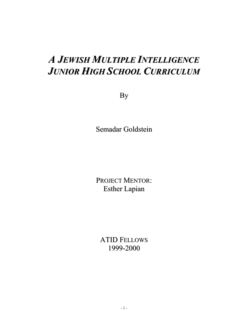# *A JEWISH MULTIPLE INTELLIGENCE JUNIOR HIGH SCHOOL CURRICULUM*

By

Semadar Goldstein

PROJECT MENTOR: Esther Lapian

ATID FELLOWS 1999-2000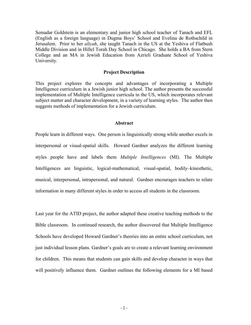Semadar Goldstein is an elementary and junior high school teacher of Tanach and EFL (English as a foreign language) in Dugma Boys' School and Evelina de Rothschild in Jerusalem. Prior to her *aliyah*, she taught Tanach in the US at the Yeshiva of Flatbush Middle Division and in Hillel Torah Day School in Chicago. She holds a BA from Stern College and an MA in Jewish Education from Azrieli Graduate School of Yeshiva University.

#### **Project Description**

This project explores the concepts and advantages of incorporating a Multiple Intelligence curriculum in a Jewish junior high school. The author presents the successful implementation of Multiple Intelligence curricula in the US, which incorporates relevant subject matter and character development, in a variety of learning styles. The author then suggests methods of implementation for a Jewish curriculum.

#### **Abstract**

People learn in different ways. One person is linguistically strong while another excels in interpersonal or visual-spatial skills. Howard Gardner analyzes the different learning styles people have and labels them *Multiple Intelligences* (MI). The Multiple Intelligences are linguistic, logical-mathematical, visual-spatial, bodily–kinesthetic, musical, interpersonal, intrapersonal, and natural. Gardner encourages teachers to relate information in many different styles in order to access all students in the classroom.

Last year for the ATID project, the author adapted these creative teaching methods to the Bible classroom. In continued research, the author discovered that Multiple Intelligence Schools have developed Howard Gardner's theories into an entire school curriculum, not just individual lesson plans. Gardner's goals are to create a relevant learning environment for children. This means that students can gain skills and develop character in ways that will positively influence them. Gardner outlines the following elements for a MI based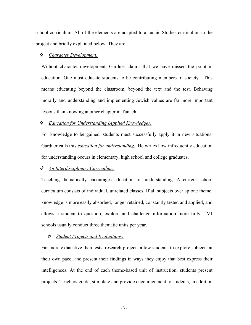school curriculum. All of the elements are adapted to a Judaic Studies curriculum in the project and briefly explained below. They are:

#### *Character Development:*

Without character development, Gardner claims that we have missed the point in education. One must educate students to be contributing members of society. This means educating beyond the classroom, beyond the text and the test. Behaving morally and understanding and implementing Jewish values are far more important lessons than knowing another chapter in Tanach.

#### *Education for Understanding (Applied Knowledge):*

For knowledge to be gained, students must successfully apply it in new situations. Gardner calls this *education for understanding*. He writes how infrequently education for understanding occurs in elementary, high school and college graduates.

#### *An Interdisciplinary Curriculum:*

Teaching thematically encourages education for understanding. A current school curriculum consists of individual, unrelated classes. If all subjects overlap one theme, knowledge is more easily absorbed, longer retained, constantly tested and applied, and allows a student to question, explore and challenge information more fully. MI schools usually conduct three thematic units per year.

#### *Student Projects and Evaluations:*

Far more exhaustive than tests, research projects allow students to explore subjects at their own pace, and present their findings in ways they enjoy that best express their intelligences. At the end of each theme-based unit of instruction, students present projects. Teachers guide, stimulate and provide encouragement to students, in addition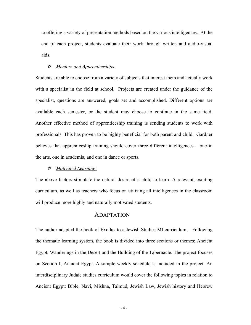to offering a variety of presentation methods based on the various intelligences. At the end of each project, students evaluate their work through written and audio-visual aids.

#### *Mentors and Apprenticeships:*

Students are able to choose from a variety of subjects that interest them and actually work with a specialist in the field at school. Projects are created under the guidance of the specialist, questions are answered, goals set and accomplished. Different options are available each semester, or the student may choose to continue in the same field. Another effective method of apprenticeship training is sending students to work with professionals. This has proven to be highly beneficial for both parent and child. Gardner believes that apprenticeship training should cover three different intelligences – one in the arts, one in academia, and one in dance or sports.

#### *Motivated Learning:*

The above factors stimulate the natural desire of a child to learn. A relevant, exciting curriculum, as well as teachers who focus on utilizing all intelligences in the classroom will produce more highly and naturally motivated students.

#### ADAPTATION

The author adapted the book of Exodus to a Jewish Studies MI curriculum. Following the thematic learning system, the book is divided into three sections or themes; Ancient Egypt, Wanderings in the Desert and the Building of the Tabernacle. The project focuses on Section I, Ancient Egypt. A sample weekly schedule is included in the project. An interdisciplinary Judaic studies curriculum would cover the following topics in relation to Ancient Egypt: Bible, Navi, Mishna, Talmud, Jewish Law, Jewish history and Hebrew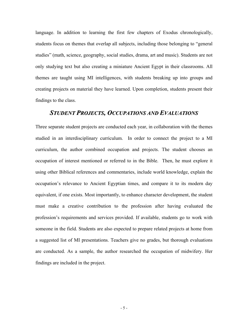language. In addition to learning the first few chapters of Exodus chronologically, students focus on themes that overlap all subjects, including those belonging to "general studies" (math, science, geography, social studies, drama, art and music). Students are not only studying text but also creating a miniature Ancient Egypt in their classrooms. All themes are taught using MI intelligences, with students breaking up into groups and creating projects on material they have learned. Upon completion, students present their findings to the class.

#### *STUDENT PROJECTS, OCCUPATIONS AND EVALUATIONS*

Three separate student projects are conducted each year, in collaboration with the themes studied in an interdisciplinary curriculum. In order to connect the project to a MI curriculum, the author combined occupation and projects. The student chooses an occupation of interest mentioned or referred to in the Bible. Then, he must explore it using other Biblical references and commentaries, include world knowledge, explain the occupation's relevance to Ancient Egyptian times, and compare it to its modern day equivalent, if one exists. Most importantly, to enhance character development, the student must make a creative contribution to the profession after having evaluated the profession's requirements and services provided. If available, students go to work with someone in the field. Students are also expected to prepare related projects at home from a suggested list of MI presentations. Teachers give no grades, but thorough evaluations are conducted. As a sample, the author researched the occupation of midwifery. Her findings are included in the project.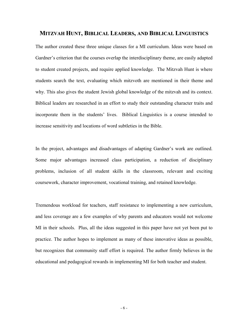#### **MITZVAH HUNT, BIBLICAL LEADERS, AND BIBLICAL LINGUISTICS**

The author created these three unique classes for a MI curriculum. Ideas were based on Gardner's criterion that the courses overlap the interdisciplinary theme, are easily adapted to student created projects, and require applied knowledge. The Mitzvah Hunt is where students search the text, evaluating which mitzvoth are mentioned in their theme and why. This also gives the student Jewish global knowledge of the mitzvah and its context. Biblical leaders are researched in an effort to study their outstanding character traits and incorporate them in the students' lives. Biblical Linguistics is a course intended to increase sensitivity and locations of word subtleties in the Bible.

In the project, advantages and disadvantages of adapting Gardner's work are outlined. Some major advantages increased class participation, a reduction of disciplinary problems, inclusion of all student skills in the classroom, relevant and exciting coursework, character improvement, vocational training, and retained knowledge.

Tremendous workload for teachers, staff resistance to implementing a new curriculum, and less coverage are a few examples of why parents and educators would not welcome MI in their schools. Plus, all the ideas suggested in this paper have not yet been put to practice. The author hopes to implement as many of these innovative ideas as possible, but recognizes that community staff effort is required. The author firmly believes in the educational and pedagogical rewards in implementing MI for both teacher and student.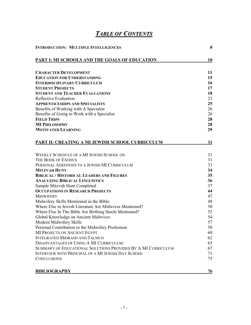# *TABLE OF CONTENTS*

| <b>INTRODUCTION: MULTIPLE INTELLIGENCES</b>                  |    |  |
|--------------------------------------------------------------|----|--|
| PART I: MI SCHOOLS AND THE GOALS OF EDUCATION                | 10 |  |
| <b>CHARACTER DEVELOPMENT</b>                                 | 11 |  |
| <b>EDUCATION FOR UNDERSTANDING</b>                           | 15 |  |
| <b>INTERDISCIPLINARY CURRICULUM</b>                          | 16 |  |
| <b>STUDENT PROJECTS</b>                                      | 17 |  |
| <b>STUDENT AND TEACHER EVALUATIONS</b>                       | 18 |  |
| <b>Reflective Evaluation</b>                                 | 23 |  |
| <b>APPRENTICESHIPS AND SPECIALISTS</b>                       | 25 |  |
| Benefits of Working with A Specialist                        | 26 |  |
| Benefits of Going to Work with a Specialist                  | 26 |  |
| <b>FIELD TRIPS</b>                                           | 28 |  |
| <b>MI PHILOSOPHY</b>                                         | 28 |  |
| <b>MOTIVATED LEARNING</b>                                    | 29 |  |
| PART II: CREATING A MI JEWISH SCHOOL CURRICULUM              | 31 |  |
| WEEKLY SCHEDULE OF A MI JEWISH SCHOOL ON                     | 31 |  |
| THE BOOK OF EXODUS                                           | 31 |  |
| PERSONAL ADDITIONS TO A JEWISH MI CURRICULUM                 | 33 |  |
| <b>MITZVAH HUNT</b>                                          | 34 |  |
| <b>BIBLICAL / HISTORICAL LEADERS AND FIGURES</b>             | 35 |  |
| <b>ANALYZING BIBLICAL LINGUISTICS</b>                        | 36 |  |
| Sample Mitzvah Hunt Completed                                | 37 |  |
| <b>OCCUPATIONS IN RESEARCH PROJECTS</b>                      | 44 |  |
| <b>MIDWIFERY</b>                                             | 47 |  |
| Midwifery Skills Mentioned in the Bible:                     | 48 |  |
| Where Else in Jewish Literature Are Midwives Mentioned?      | 50 |  |
| Where Else In The Bible Are Birthing Stools Mentioned?       | 52 |  |
| Global Knowledge on Ancient Midwives:                        | 54 |  |
| Modern Midwifery Skills                                      | 57 |  |
| Personal Contribution to the Midwifery Profession            | 58 |  |
| MI PROJECTS ON ANCIENT EGYPT                                 | 60 |  |
| <b>INTEGRATED MIDRASH AND TALMUD</b>                         | 62 |  |
| <b>DISADVANTAGES OF USING A MI CURRICULUM:</b>               | 65 |  |
| SUMMARY OF EDUCATIONAL SOLUTIONS PROVIDED BY A MI CURRICULUM | 67 |  |
| INTERVIEW WITH PRINCIPAL OF A MI JEWISH DAY SCHOOL           | 71 |  |
| <b>CONCLUSIONS</b>                                           | 75 |  |
| <b>BIBLIOGRAPHY</b>                                          | 76 |  |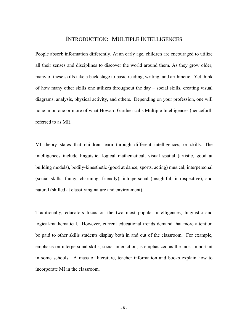## INTRODUCTION: MULTIPLE INTELLIGENCES

<span id="page-7-0"></span>People absorb information differently. At an early age, children are encouraged to utilize all their senses and disciplines to discover the world around them. As they grow older, many of these skills take a back stage to basic reading, writing, and arithmetic. Yet think of how many other skills one utilizes throughout the day – social skills, creating visual diagrams, analysis, physical activity, and others. Depending on your profession, one will hone in on one or more of what Howard Gardner calls Multiple Intelligences (henceforth referred to as MI).

MI theory states that children learn through different intelligences, or skills. The intelligences include linguistic, logical–mathematical, visual–spatial (artistic, good at building models), bodily-kinesthetic (good at dance, sports, acting) musical, interpersonal (social skills, funny, charming, friendly), intrapersonal (insightful, introspective), and natural (skilled at classifying nature and environment).

Traditionally, educators focus on the two most popular intelligences, linguistic and logical-mathematical. However, current educational trends demand that more attention be paid to other skills students display both in and out of the classroom. For example, emphasis on interpersonal skills, social interaction, is emphasized as the most important in some schools. A mass of literature, teacher information and books explain how to incorporate MI in the classroom.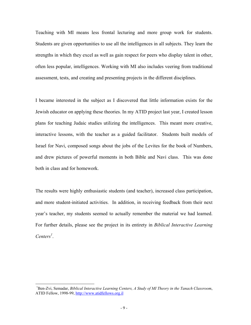Teaching with MI means less frontal lecturing and more group work for students. Students are given opportunities to use all the intelligences in all subjects. They learn the strengths in which they excel as well as gain respect for peers who display talent in other, often less popular, intelligences. Working with MI also includes veering from traditional assessment, tests, and creating and presenting projects in the different disciplines.

I became interested in the subject as I discovered that little information exists for the Jewish educator on applying these theories. In my ATID project last year, I created lesson plans for teaching Judaic studies utilizing the intelligences. This meant more creative, interactive lessons, with the teacher as a guided facilitator. Students built models of Israel for Navi, composed songs about the jobs of the Levites for the book of Numbers, and drew pictures of powerful moments in both Bible and Navi class. This was done both in class and for homework.

The results were highly enthusiastic students (and teacher), increased class participation, and more student-initiated activities. In addition, in receiving feedback from their next year's teacher, my students seemed to actually remember the material we had learned. For further details, please see the project in its entirety in *Biblical Interactive Learning Centers[1](#page-8-0)* .

-

<span id="page-8-0"></span><sup>&</sup>lt;sup>1</sup>Ben-Zvi, Semadar, *Biblical Interactive Learning Centers, A Study of MI Theory in the Tanach Classroom,* ATID Fellow, 1998-99, [http://www.atidfellows.org.il](http://www.atidfellows.org.il/)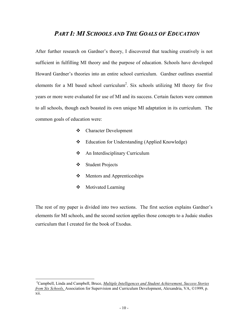## *PART I: MI SCHOOLS AND THE GOALS OF EDUCATION*

<span id="page-9-0"></span>After further research on Gardner's theory, I discovered that teaching creatively is not sufficient in fulfilling MI theory and the purpose of education. Schools have developed Howard Gardner's theories into an entire school curriculum. Gardner outlines essential elements for a MI based school curriculum<sup>2</sup>. Six schools utilizing MI theory for five years or more were evaluated for use of MI and its success. Certain factors were common to all schools, though each boasted its own unique MI adaptation in its curriculum. The common goals of education were:

- Character Development
- Education for Understanding (Applied Knowledge)
- **❖** An Interdisciplinary Curriculum
- Student Projects
- Mentors and Apprenticeships
- Motivated Learning

-

The rest of my paper is divided into two sections. The first section explains Gardner's elements for MI schools, and the second section applies those concepts to a Judaic studies curriculum that I created for the book of Exodus.

<span id="page-9-1"></span><sup>2</sup> Campbell, Linda and Campbell, Bruce, *Multiple Intelligences and Student Achievement, Success Stories from Six Schools,* Association for Supervision and Curriculum Development, Alexandria, VA, ©1999, p. xii.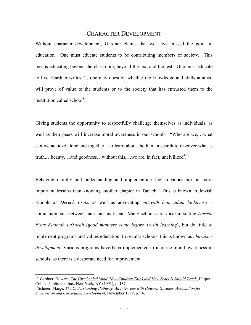#### CHARACTER DEVELOPMENT

<span id="page-10-0"></span>Without character development, Gardner claims that we have missed the point in education. One must educate students to be contributing members of society. This means educating beyond the classroom, beyond the text and the test. One must educate to live. Gardner writes "…one may question whether the knowledge and skills attained will prove of value to the students or to the society that has entrusted them to the institution called school<sup>[3](#page-10-1)</sup>."

Giving students the opportunity to respectfully challenge themselves as individuals, as well as their peers will increase moral awareness in our schools. "Who are we,…what can we achieve alone and together…to learn about the human search to discover what is truth,...beauty,...and goodness...without this,...we are, in fact, uncivilized<sup>4</sup>."

Behaving morally and understanding and implementing Jewish values are far more important lessons than knowing another chapter in Tanach. This is known in Jewish schools as *Derech Eretz,* as well as advocating *mitzvoth bein adam lachavero –*  commandments between man and his friend*.* Many schools are vocal in stating *Derech Eretz Kadmah LaTorah (good manners come before Torah learning*), but do little to implement programs and values education. In secular schools, this is known as *character development*. Various programs have been implemented to increase moral awareness in schools, as there is a desperate need for improvement.

1

<span id="page-10-1"></span><sup>3</sup> Gardner, Howard, *The Unschooled Mind*, *How Children Think and How Schools Should Teach*, Harper Collins Publishers, Inc., New York, NY (1991), p. 137.

<span id="page-10-2"></span><sup>4</sup> Scherer, Marge, *The Understanding Pathway*, *An Interview with Howard Gardner*, *Association for Supervision and Curriculum Development*, November 1999, p. 16.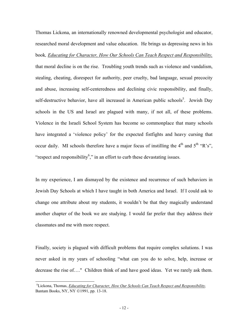Thomas Lickona, an internationally renowned developmental psychologist and educator, researched moral development and value education. He brings us depressing news in his book*, Educating for Character, How Our Schools Can Teach Respect and Responsibility,* that moral decline is on the rise. Troubling youth trends such as violence and vandalism, stealing, cheating, disrespect for authority, peer cruelty, bad language, sexual precocity and abuse, increasing self-centeredness and declining civic responsibility, and finally, self-destructive behavior, have all increased in American public schools<sup>5</sup>. Jewish Day schools in the US and Israel are plagued with many, if not all, of these problems. Violence in the Israeli School System has become so commonplace that many schools have integrated a 'violence policy' for the expected fistfights and heavy cursing that occur daily. MI schools therefore have a major focus of instilling the  $4<sup>th</sup>$  and  $5<sup>th</sup>$  "R's", "respect and responsibility<sup>[6](#page-11-1)</sup>," in an effort to curb these devastating issues.

In my experience, I am dismayed by the existence and recurrence of such behaviors in Jewish Day Schools at which I have taught in both America and Israel. If I could ask to change one attribute about my students, it wouldn't be that they magically understand another chapter of the book we are studying. I would far prefer that they address their classmates and me with more respect.

Finally, society is plagued with difficult problems that require complex solutions. I was never asked in my years of schooling "what can you do to solve, help, increase or decrease the rise of…." Children think of and have good ideas. Yet we rarely ask them.

1

<span id="page-11-1"></span><span id="page-11-0"></span><sup>5</sup> Lickona, Thomas, *Educating for Character, How Our Schools Can Teach Respect and Responsibility,* Bantam Books, NY, NY ©1991, pp. 13-18.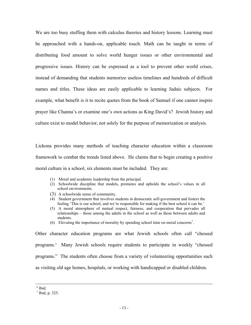We are too busy stuffing them with calculus theories and history lessons. Learning must be approached with a hands-on, applicable touch. Math can be taught in terms of distributing food amount to solve world hunger issues or other environmental and progressive issues. History can be expressed as a tool to prevent other world crises, instead of demanding that students memorize useless timelines and hundreds of difficult names and titles. These ideas are easily applicable to learning Judaic subjects. For example, what benefit is it to recite quotes from the book of Samuel if one cannot inspire prayer like Channa's or examine one's own actions as King David's? Jewish history and culture exist to model behavior, not solely for the purpose of memorization or analysis.

Lickona provides many methods of teaching character education within a classroom framework to combat the trends listed above. He claims that to begin creating a positive moral culture in a school, six elements must be included. They are:

- (1) Moral and academic leadership from the principal.
- (2) Schoolwide discipline that models, promotes and upholds the school's values in all school environments.
- 
- (3) A schoolwide sense of community. (4) Student government that involves students in democratic self-government and fosters the feeling 'This is our school, and we're responsible for making if the best school it can be.'
- (5) A moral atmosphere of mutual respect, fairness, and cooperation that pervades all relationships – those among the adults in the school as well as those between adults and students.
- (6) Elevating the importance of morality by spending school time on moral concerns<sup>7</sup>.

Other character education programs are what Jewish schools often call "chessed programs." Many Jewish schools require students to participate in weekly "chessed programs." The students often choose from a variety of volunteering opportunities such as visiting old age homes, hospitals, or working with handicapped or disabled children.

l

<sup>6</sup> Ibid.

<span id="page-12-0"></span><sup>7</sup> Ibid, p. 325.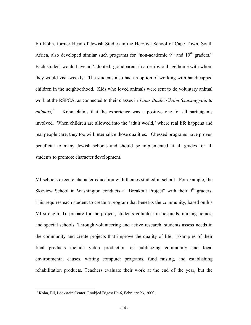Eli Kohn, former Head of Jewish Studies in the Herzliya School of Cape Town, South Africa, also developed similar such programs for "non-academic  $9<sup>th</sup>$  and  $10<sup>th</sup>$  graders." Each student would have an 'adopted' grandparent in a nearby old age home with whom they would visit weekly. The students also had an option of working with handicapped children in the neighborhood. Kids who loved animals were sent to do voluntary animal work at the RSPCA, as connected to their classes in *Tzaar Baalei Chaim (causing pain to animals)*[8](#page-13-0) . Kohn claims that the experience was a positive one for all participants involved. When children are allowed into the 'adult world,' where real life happens and real people care, they too will internalize those qualities. Chessed programs have proven beneficial to many Jewish schools and should be implemented at all grades for all students to promote character development.

MI schools execute character education with themes studied in school. For example, the Skyview School in Washington conducts a "Breakout Project" with their  $9<sup>th</sup>$  graders. This requires each student to create a program that benefits the community, based on his MI strength. To prepare for the project, students volunteer in hospitals, nursing homes, and special schools. Through volunteering and active research, students assess needs in the community and create projects that improve the quality of life. Examples of their final products include video production of publicizing community and local environmental causes, writing computer programs, fund raising, and establishing rehabilitation products. Teachers evaluate their work at the end of the year, but the

1

<span id="page-13-0"></span><sup>8</sup> Kohn, Eli, Lookstein Center, Lookjed Digest II:16, February 23, 2000.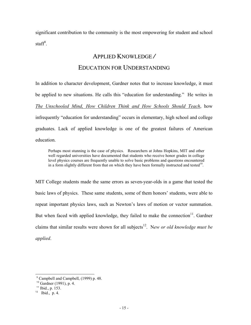<span id="page-14-0"></span>significant contribution to the community is the most empowering for student and school  $\text{staff}^9$ .

### APPLIED KNOWLEDGE */*

#### EDUCATION FOR UNDERSTANDING

In addition to character development, Gardner notes that to increase knowledge, it must be applied to new situations. He calls this "education for understanding." He writes in *The Unschooled Mind, How Children Think and How Schools Should Teach*, how infrequently "education for understanding" occurs in elementary, high school and college graduates. Lack of applied knowledge is one of the greatest failures of American education.

Perhaps most stunning is the case of physics. Researchers at Johns Hopkins, MIT and other well regarded universities have documented that students who receive honor grades in college level physics courses are frequently unable to solve basic problems and questions encountered in a form slightly different from that on which they have been formally instructed and tested<sup>10</sup>.

MIT College students made the same errors as seven-year-olds in a game that tested the basic laws of physics. These same students, some of them honors' students, were able to repeat important physics laws, such as Newton's laws of motion or vector summation. But when faced with applied knowledge, they failed to make the connection $11$ . Gardner claims that similar results were shown for all subjects<sup>12</sup>. New or old knowledge must be *applied*.

<span id="page-14-1"></span>9 Campbell and Campbell, (1999) p. 48.

<span id="page-14-2"></span><sup>10</sup> Gardner (1991), p. 4.

<span id="page-14-3"></span> $11$  Ibid., p. 153.

<span id="page-14-4"></span> $12$  Ibid., p. 4.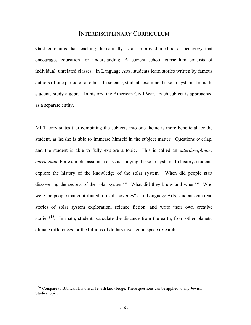#### INTERDISCIPLINARY CURRICULUM

<span id="page-15-0"></span>Gardner claims that teaching thematically is an improved method of pedagogy that encourages education for understanding. A current school curriculum consists of individual, unrelated classes. In Language Arts, students learn stories written by famous authors of one period or another. In science, students examine the solar system. In math, students study algebra. In history, the American Civil War. Each subject is approached as a separate entity.

MI Theory states that combining the subjects into one theme is more beneficial for the student, as he/she is able to immerse himself in the subject matter. Questions overlap, and the student is able to fully explore a topic. This is called an *interdisciplinary curriculum*. For example, assume a class is studying the solar system. In history, students explore the history of the knowledge of the solar system. When did people start discovering the secrets of the solar system\*? What did they know and when\*? Who were the people that contributed to its discoveries\*? In Language Arts, students can read stories of solar system exploration, science fiction, and write their own creative stories $*$ <sup>13</sup>. In math, students calculate the distance from the earth, from other planets, climate differences, or the billions of dollars invested in space research.

-

<span id="page-15-1"></span><sup>&</sup>lt;sup>13\*</sup> Compare to Biblical /Historical Jewish knowledge. These questions can be applied to any Jewish Studies topic.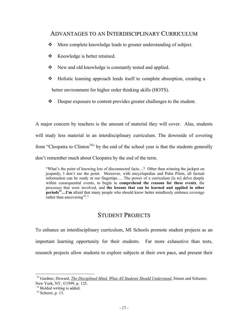## <span id="page-16-0"></span>ADVANTAGES TO AN INTERDISCIPLINARY CURRICULUM

- More complete knowledge leads to greater understanding of subject.
- ❖ Knowledge is better retained.
- **❖** New and old knowledge is constantly tested and applied.
- Holistic learning approach lends itself to complete absorption, creating a better environment for higher order thinking skills (HOTS).
- Deeper exposure to content provides greater challenges to the student.

A major concern by teachers is the amount of material they will cover. Alas, students will study less material in an interdisciplinary curriculum. The downside of covering from "Cleopatra to Clinton<sup>14</sup>" by the end of the school year is that the students generally don't remember much about Cleopatra by the end of the term.

"What's the point of knowing lots of disconnected facts…? Other than winning the jackpot on jeopardy, I don't see the point. Moreover, with encyclopedias and Palm Pilots, all factual information can be ready at our fingertips…. The power of a curriculum [is to] delve deeply within consequential events, to begin to **comprehend the reasons for these events**, the processes that were involved, and **the lessons that can be learned and applied in other periods[15…](#page-16-2)I'm** afraid that many people who should know better mindlessly embrace coverage rather than uncovering<sup>16</sup>."

## STUDENT PROJECTS

To enhance an interdisciplinary curriculum, MI Schools promote student projects as an important learning opportunity for their students. Far more exhaustive than tests, research projects allow students to explore subjects at their own pace, and present their

1

<span id="page-16-1"></span><sup>&</sup>lt;sup>14</sup> Gardner, Howard, *The Disciplined Mind, What All Students Should Understand*, Simon and Schuster, New York, NY, ©1999, p. 125.

<span id="page-16-2"></span><sup>&</sup>lt;sup>15</sup> Bolded writing is added.

<span id="page-16-3"></span> $16$  Scherer, p. 13.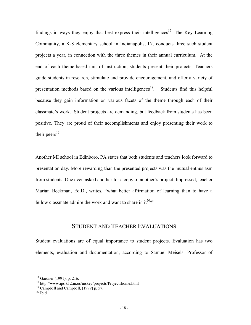<span id="page-17-0"></span>findings in ways they enjoy that best express their intelligences<sup>17</sup>. The Key Learning Community, a K-8 elementary school in Indianapolis, IN, conducts three such student projects a year, in connection with the three themes in their annual curriculum. At the end of each theme-based unit of instruction, students present their projects. Teachers guide students in research, stimulate and provide encouragement, and offer a variety of presentation methods based on the various intelligences<sup>18</sup>. Students find this helpful because they gain information on various facets of the theme through each of their classmate's work. Student projects are demanding, but feedback from students has been positive. They are proud of their accomplishments and enjoy presenting their work to their peers<sup>19</sup>.

Another MI school in Edinboro, PA states that both students and teachers look forward to presentation day. More rewarding than the presented projects was the mutual enthusiasm from students. One even asked another for a copy of another's project. Impressed, teacher Marian Beckman, Ed.D., writes, "what better affirmation of learning than to have a fellow classmate admire the work and want to share in  $it^{20}$ ?"

#### STUDENT AND TEACHER EVALUATIONS

Student evaluations are of equal importance to student projects. Evaluation has two elements, evaluation and documentation, according to Samuel Meisels, Professor of

-

<span id="page-17-1"></span><sup>17</sup> Gardner (1991), p. 216.

<span id="page-17-2"></span><sup>18</sup> http://www.ips.k12.in.us/mskey/projects/Projectshome.html

<span id="page-17-3"></span><sup>19</sup> Campbell and Campbell, (1999) p. 57.

<span id="page-17-4"></span> $20$  Ibid.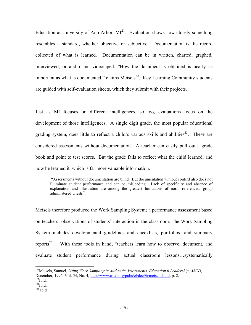Education at University of Ann Arbor,  $MI<sup>21</sup>$ . Evaluation shows how closely something resembles a standard, whether objective or subjective. Documentation is the record collected of what is learned. Documentation can be in written, charted, graphed, interviewed, or audio and videotaped. "How the document is obtained is nearly as important as what is documented," claims Meisels $^{22}$ . Key Learning Community students are guided with self-evaluation sheets, which they submit with their projects.

Just as MI focuses on different intelligences, so too, evaluations focus on the development of those intelligences. A single digit grade, the most popular educational grading system, does little to reflect a child's various skills and abilities<sup>23</sup>. These are considered assessments without documentation. A teacher can easily pull out a grade book and point to test scores. But the grade fails to reflect what the child learned, and how he learned it, which is far more valuable information.

"Assessments without documentation are blind. But documentation without context also does not illuminate student performance and can be misleading. Lack of specificity and absence of explanation and illustration are among the greatest limitations of norm referenced, group administered…tests<sup>24</sup>."

Meisels therefore produced the Work Sampling System; a performance assessment based on teachers' observations of students' interaction in the classroom. The Work Sampling System includes developmental guidelines and checklists, portfolios, and summary reports<sup>25</sup>. With these tools in hand, "teachers learn how to observe, document, and evaluate student performance during actual classroom lessons…systematically

-

<span id="page-18-0"></span><sup>21</sup>Meisels, Samuel*, Using Work Sampling in Authentic Assessments, Educational Leadership*, *ASCD*, December, 1996, Vol. 54, No. 4,<http://www.ascd.org/pubs/el/dec96/meisels.html>, p. 2.  $^{22}$ Ibid.

<span id="page-18-4"></span><span id="page-18-2"></span><span id="page-18-1"></span> $^{23}$ Ibid.

<span id="page-18-3"></span> $24$  Ibid.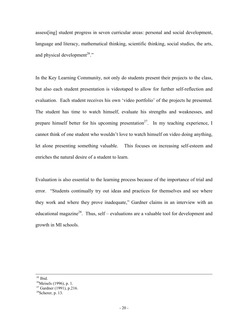assess[ing] student progress in seven curricular areas: personal and social development, language and literacy, mathematical thinking, scientific thinking, social studies, the arts, and physical development<sup>26</sup>."

In the Key Learning Community, not only do students present their projects to the class, but also each student presentation is videotaped to allow for further self-reflection and evaluation. Each student receives his own 'video portfolio' of the projects he presented. The student has time to watch himself, evaluate his strengths and weaknesses, and prepare himself better for his upcoming presentation<sup>27</sup>. In my teaching experience, I cannot think of one student who wouldn't love to watch himself on video doing anything, let alone presenting something valuable. This focuses on increasing self-esteem and enriches the natural desire of a student to learn.

Evaluation is also essential to the learning process because of the importance of trial and error. "Students continually try out ideas and practices for themselves and see where they work and where they prove inadequate," Gardner claims in an interview with an educational magazine<sup>28</sup>. Thus, self – evaluations are a valuable tool for development and growth in MI schools.

l

 $25$  Ibid.

<span id="page-19-0"></span><sup>&</sup>lt;sup>26</sup>Meisels (1996), p. 1.

<span id="page-19-1"></span><sup>27</sup> Gardner (1991), p.216.

<span id="page-19-2"></span> $28$ Scherer, p. 13.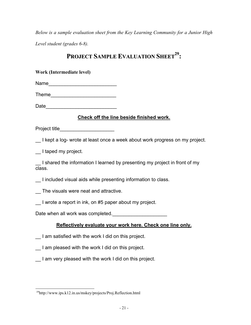*Below is a sample evaluation sheet from the Key Learning Community for a Junior High Level student (grades 6-8).* 

# **PROJECT SAMPLE EVALUATION SHEE[T29](#page-20-0) :**

| Work (Intermediate level)                                       |                                                                             |  |  |  |  |
|-----------------------------------------------------------------|-----------------------------------------------------------------------------|--|--|--|--|
| Name                                                            |                                                                             |  |  |  |  |
|                                                                 |                                                                             |  |  |  |  |
|                                                                 |                                                                             |  |  |  |  |
| Check off the line beside finished work.                        |                                                                             |  |  |  |  |
| Project title________________________                           |                                                                             |  |  |  |  |
|                                                                 | I kept a log- wrote at least once a week about work progress on my project. |  |  |  |  |
| I taped my project.                                             |                                                                             |  |  |  |  |
| class.                                                          | I shared the information I learned by presenting my project in front of my  |  |  |  |  |
| _ I included visual aids while presenting information to class. |                                                                             |  |  |  |  |
| _ The visuals were neat and attractive.                         |                                                                             |  |  |  |  |
| I wrote a report in ink, on #5 paper about my project.          |                                                                             |  |  |  |  |
| Date when all work was completed.                               |                                                                             |  |  |  |  |
|                                                                 | Reflectively evaluate your work here. Check one line only.                  |  |  |  |  |
| I am satisfied with the work I did on this project.             |                                                                             |  |  |  |  |
| I am pleased with the work I did on this project.               |                                                                             |  |  |  |  |
| I am very pleased with the work I did on this project.          |                                                                             |  |  |  |  |

1

<span id="page-20-0"></span><sup>29</sup>http://www.ips.k12.in.us/mskey/projects/Proj.Reflection.html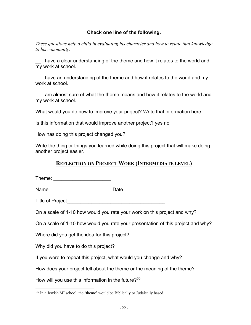#### **Check one line of the following.**

*These questions help a child in evaluating his character and how to relate that knowledge to his community*.

I have a clear understanding of the theme and how it relates to the world and my work at school.

I have an understanding of the theme and how it relates to the world and my work at school.

I am almost sure of what the theme means and how it relates to the world and my work at school.

What would you do now to improve your project? Write that information here:

Is this information that would improve another project? yes no

How has doing this project changed you?

Write the thing or things you learned while doing this project that will make doing another project easier.

## **REFLECTION ON PROJECT WORK (INTERMEDIATE LEVEL)**

|                                                                    | Date <u> Lette</u>                                                               |
|--------------------------------------------------------------------|----------------------------------------------------------------------------------|
| Title of Project <b>Example 20</b>                                 |                                                                                  |
|                                                                    | On a scale of 1-10 how would you rate your work on this project and why?         |
|                                                                    | On a scale of 1-10 how would you rate your presentation of this project and why? |
| Where did you get the idea for this project?                       |                                                                                  |
| Why did you have to do this project?                               |                                                                                  |
| If you were to repeat this project, what would you change and why? |                                                                                  |
|                                                                    | How does your project tell about the theme or the meaning of the theme?          |
| How will you use this information in the future? <sup>30</sup>     |                                                                                  |

1

<span id="page-21-0"></span><sup>&</sup>lt;sup>30</sup> In a Jewish MI school, the 'theme' would be Biblically or Judaically based.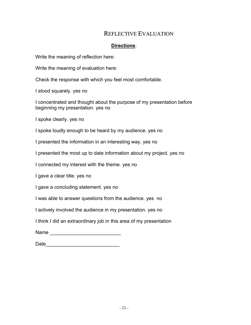# REFLECTIVE EVALUATION

## **Directions**:

<span id="page-22-0"></span>Write the meaning of reflection here:

Write the meaning of evaluation here:

Check the response with which you feel most comfortable.

I stood squarely. yes no

I concentrated and thought about the purpose of my presentation before beginning my presentation. yes no

I spoke clearly. yes no

I spoke loudly enough to be heard by my audience. yes no

I presented the information in an interesting way. yes no

I presented the most up to date information about my project. yes no

I connected my interest with the theme. yes no

I gave a clear title. yes no

I gave a concluding statement. yes no

I was able to answer questions from the audience. yes no

I actively involved the audience in my presentation. yes no

I think I did an extraordinary job in this area of my presentation

 $Name$ 

Date\_\_\_\_\_\_\_\_\_\_\_\_\_\_\_\_\_\_\_\_\_\_\_\_\_\_\_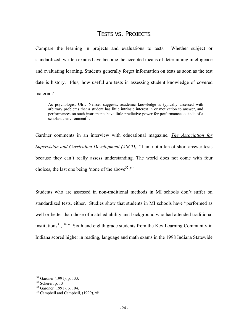## TESTS VS. PROJECTS

Compare the learning in projects and evaluations to tests. Whether subject or standardized, written exams have become the accepted means of determining intelligence and evaluating learning. Students generally forget information on tests as soon as the test date is history. Plus, how useful are tests in assessing student knowledge of covered material?

As psychologist Ulric Neisser suggests, academic knowledge is typically assessed with arbitrary problems that a student has little intrinsic interest in or motivation to answer, and performances on such instruments have little predictive power for performances outside of a scholastic environment $31$ .

Gardner comments in an interview with educational magazine*, The Association for Supervision and Curriculum Development (ASCD),* "I am not a fan of short answer tests because they can't really assess understanding. The world does not come with four choices, the last one being 'none of the above  $32$ ."

Students who are assessed in non-traditional methods in MI schools don't suffer on standardized tests, either. Studies show that students in MI schools have "performed as well or better than those of matched ability and background who had attended traditional institutions<sup>33</sup>,  $34$ ." Sixth and eighth grade students from the Key Learning Community in Indiana scored higher in reading, language and math exams in the 1998 Indiana Statewide

-

<span id="page-23-0"></span><sup>&</sup>lt;sup>31</sup> Gardner (1991), p. 133.

<span id="page-23-1"></span> $32$  Scherer, p. 13

<span id="page-23-2"></span><sup>33</sup> Gardner (1991), p. 194.

<span id="page-23-3"></span><sup>&</sup>lt;sup>34</sup> Campbell and Campbell, (1999), xii.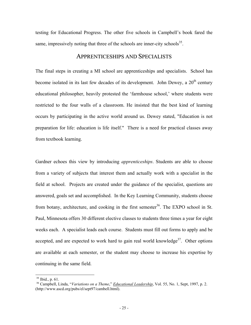<span id="page-24-0"></span>testing for Educational Progress. The other five schools in Campbell's book fared the same, impressively noting that three of the schools are inner-city schools<sup>35</sup>.

#### APPRENTICESHIPS AND SPECIALISTS

The final steps in creating a MI school are apprenticeships and specialists. School has become isolated in its last few decades of its development. John Dewey, a  $20<sup>th</sup>$  century educational philosopher, heavily protested the 'farmhouse school,' where students were restricted to the four walls of a classroom. He insisted that the best kind of learning occurs by participating in the active world around us. Dewey stated, "Education is not preparation for life: education is life itself." There is a need for practical classes away from textbook learning.

Gardner echoes this view by introducing *apprenticeships*. Students are able to choose from a variety of subjects that interest them and actually work with a specialist in the field at school. Projects are created under the guidance of the specialist, questions are answered, goals set and accomplished. In the Key Learning Community, students choose from botany, architecture, and cooking in the first semester<sup>36</sup>. The EXPO school in St. Paul, Minnesota offers 30 different elective classes to students three times a year for eight weeks each. A specialist leads each course. Students must fill out forms to apply and be accepted, and are expected to work hard to gain real world knowledge<sup>37</sup>. Other options are available at each semester, or the student may choose to increase his expertise by continuing in the same field.

1

<span id="page-24-3"></span><span id="page-24-1"></span> $35$  Ibid., p. 61.

<span id="page-24-2"></span><sup>&</sup>lt;sup>36</sup> Campbell, Linda, "Variations on a Theme," *Educational Leadership*, Vol. 55, No. 1, Sept, 1997, p. 2. (http://www.ascd.org/pubs/el/sept97/cambell.html).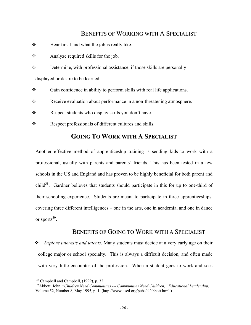## BENEFITS OF WORKING WITH A SPECIALIST

- <span id="page-25-0"></span> $\triangle$  Hear first hand what the job is really like.
- $\triangle$  Analyze required skills for the job.
- Determine, with professional assistance, if those skills are personally displayed or desire to be learned.
- $\bullet$  Gain confidence in ability to perform skills with real life applications.
- \* Receive evaluation about performance in a non-threatening atmosphere.
- \* Respect students who display skills you don't have.
- \* Respect professionals of different cultures and skills.

# **GOING TO WORK WITH A SPECIALIST**

Another effective method of apprenticeship training is sending kids to work with a professional, usually with parents and parents' friends. This has been tested in a few schools in the US and England and has proven to be highly beneficial for both parent and child<sup>38</sup>. Gardner believes that students should participate in this for up to one-third of their schooling experience. Students are meant to participate in three apprenticeships, covering three different intelligences – one in the arts, one in academia, and one in dance or sports $39$ .

#### BENEFITS OF GOING TO WORK WITH A SPECIALIST

 *Explore interests and talents.* Many students must decide at a very early age on their college major or school specialty. This is always a difficult decision, and often made with very little encounter of the profession. When a student goes to work and sees

l

<span id="page-25-2"></span><sup>37</sup> Campbell and Campbell, (1999), p. 32.

<span id="page-25-1"></span><sup>38</sup>Abbott, John, "*Children Need Communities --- Communities Need Children," Educational Leadership*, Volume 52, Number 8, May 1995, p. 1. (http://www.ascd.org/pubs/el/abbott.html.)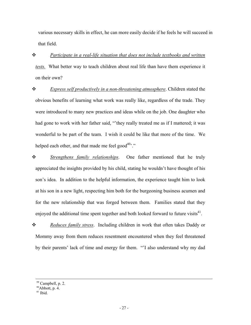various necessary skills in effect, he can more easily decide if he feels he will succeed in that field.

 *Participate in a real-life situation that does not include textbooks and written tests.* What better way to teach children about real life than have them experience it on their own?

 *Express self productively in a non-threatening atmosphere*. Children stated the obvious benefits of learning what work was really like, regardless of the trade. They were introduced to many new practices and ideas while on the job. One daughter who had gone to work with her father said, "'they really treated me as if I mattered; it was wonderful to be part of the team. I wish it could be like that more of the time. We helped each other, and that made me feel good $40^{\circ}$ ."

 *Strengthens family relationships*. One father mentioned that he truly appreciated the insights provided by his child, stating he wouldn't have thought of his son's idea. In addition to the helpful information, the experience taught him to look at his son in a new light, respecting him both for the burgeoning business acumen and for the new relationship that was forged between them. Families stated that they enjoyed the additional time spent together and both looked forward to future visits $41$ .

 *Reduces family stress*. Including children in work that often takes Daddy or Mommy away from them reduces resentment encountered when they feel threatened by their parents' lack of time and energy for them. "'I also understand why my dad

l

<sup>39</sup> Campbell, p. 2.

<span id="page-26-0"></span> $^{40}$ Abbott, p. 4.

<span id="page-26-1"></span><sup>41</sup> Ibid.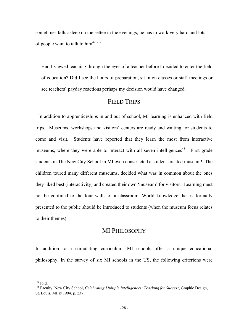<span id="page-27-0"></span>sometimes falls asleep on the settee in the evenings; he has to work very hard and lots of people want to talk to  $\lim^{42}$ ."

Had I viewed teaching through the eyes of a teacher before I decided to enter the field of education? Did I see the hours of preparation, sit in on classes or staff meetings or see teachers' payday reactions perhaps my decision would have changed.

#### FIELD TRIPS

In addition to apprenticeships in and out of school, MI learning is enhanced with field trips. Museums, workshops and visitors' centers are ready and waiting for students to come and visit. Students have reported that they learn the most from interactive museums, where they were able to interact with all seven intelligences<sup>43</sup>. First grade students in The New City School in MI even constructed a student-created museum! The children toured many different museums, decided what was in common about the ones they liked best (interactivity) and created their own 'museum' for visitors. Learning must not be confined to the four walls of a classroom. World knowledge that is formally presented to the public should be introduced to students (when the museum focus relates to their themes).

#### MI PHILOSOPHY

In addition to a stimulating curriculum, MI schools offer a unique educational philosophy. In the survey of six MI schools in the US, the following criterions were

-

<span id="page-27-1"></span><sup>42</sup> Ibid.

<span id="page-27-2"></span><sup>43</sup> Faculty, New City School, *Celebrating Multiple Intelligences: Teaching for Success*, Graphic Design, St. Louis, MI  $\odot$  1994, p. 237.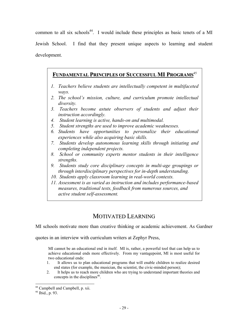<span id="page-28-0"></span>common to all six schools<sup>44</sup>. I would include these principles as basic tenets of a MI Jewish School. I find that they present unique aspects to learning and student development.

## **FUNDAMENTAL PRINCIPLES OF SUCCESSFUL MI PROGRAMS** [45](#page-28-2) **FUNDAMENTAL PRINCIPLES OF SUCCESSFUL MI PROGRAMS**

- *1. Teachers believe students are intellectually competent in multifaceted ways.*
- *2. The school's mission, culture, and curriculum promote intellectual diversity.*
- *3. Teachers become astute observers of students and adjust their instruction accordingly.*
- *4. Student learning is active, hands-on and multimodal.*
- *5. Student strengths are used to improve academic weaknesses.*
- *6. Students have opportunities to personalize their educational experiences while also acquiring basic skills.*
- *7. Students develop autonomous learning skills through initiating and completing independent projects.*
- *8. School or community experts mentor students in their intelligence strengths.*
- *9. Students study core disciplinary concepts in multi-age groupings or through interdisciplinary perspectives for in-depth understanding.*
- *10. Students apply classroom learning in real-world contexts.*
- *11. Assessment is as varied as instruction and includes performance-based measures, traditional tests, feedback from numerous sources, and active student self-assessment.*

# MOTIVATED LEARNING

MI schools motivate more than creative thinking or academic achievement. As Gardner

quotes in an interview with curriculum writers at Zephyr Press,

MI cannot be an educational end in itself. MI is, rather, a powerful tool that can help us to achieve educational ends more effectively. From my vantagepoint, MI is most useful for two educational ends:

- 1. It allows us to plan educational programs that will enable children to realize desired end states (for example, the musician, the scientist, the civic-minded person);
- 2. It helps us to reach more children who are trying to understand important theories and concepts in the disciplines<sup>46</sup>.

-

<span id="page-28-1"></span><sup>44</sup> Campbell and Campbell, p. xii.

<span id="page-28-2"></span><sup>45</sup> Ibid., p. 93.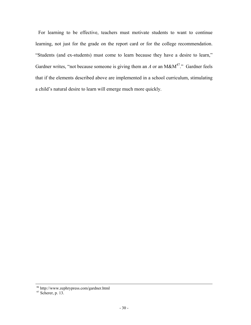For learning to be effective, teachers must motivate students to want to continue learning, not just for the grade on the report card or for the college recommendation. "Students (and ex-students) must come to learn because they have a desire to learn," Gardner writes, "not because someone is giving them an *A* or an M&M<sup>47</sup>." Gardner feels that if the elements described above are implemented in a school curriculum, stimulating a child's natural desire to learn will emerge much more quickly.

l

<sup>46</sup> http://www.zephrypress.com/gardner.html

<span id="page-29-0"></span> $47$  Scherer, p. 13.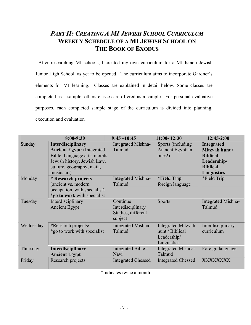# <span id="page-30-0"></span>*PART II: CREATING A MI JEWISH SCHOOL CURRICULUM* **WEEKLY SCHEDULE OF A MI JEWISH SCHOOL ON THE BOOK OF EXODUS**

After researching MI schools, I created my own curriculum for a MI Israeli Jewish Junior High School, as yet to be opened. The curriculum aims to incorporate Gardner's elements for MI learning. Classes are explained in detail below. Some classes are completed as a sample, others classes are offered as a sample. For personal evaluative purposes, each completed sample stage of the curriculum is divided into planning, execution and evaluation*.*

|           | 8:00-9:30                                                                                                                                                                  | $9:45 - 10:45$                                                 | $11:00 - 12:30$                                                            | $12:45-2:00$                                                                                                   |
|-----------|----------------------------------------------------------------------------------------------------------------------------------------------------------------------------|----------------------------------------------------------------|----------------------------------------------------------------------------|----------------------------------------------------------------------------------------------------------------|
| Sunday    | <b>Interdisciplinary</b><br><b>Ancient Egypt: (Integrated)</b><br>Bible, Language arts, morals,<br>Jewish history, Jewish Law,<br>culture, geography, math,<br>music, art) | Integrated Mishna-<br>Talmud                                   | Sports (including)<br><b>Ancient Egyptian</b><br>ones!)                    | <b>Integrated</b><br>Mitzvah hunt /<br><b>Biblical</b><br>Leadership/<br><b>Biblical</b><br><b>Linguistics</b> |
| Monday    | * Research projects<br>(ancient vs. modern<br>occupation, with specialist)<br>*go to work with specialist                                                                  | Integrated Mishna-<br>Talmud                                   | <i><b>*Field Trip</b></i><br>foreign language                              | *Field Trip                                                                                                    |
| Tuesday   | Interdisciplinary<br><b>Ancient Egypt</b>                                                                                                                                  | Continue<br>Interdisciplinary<br>Studies, different<br>subject | <b>Sports</b>                                                              | Integrated Mishna-<br>Talmud                                                                                   |
| Wednesday | *Research projects/<br>*go to work with specialist                                                                                                                         | Integrated Mishna-<br>Talmud                                   | <b>Integrated Mitzvah</b><br>hunt / Biblical<br>Leadership/<br>Linguistics | Interdisciplinary<br>curriculum                                                                                |
| Thursday  | <b>Interdisciplinary</b><br><b>Ancient Egypt</b>                                                                                                                           | Integrated Bible -<br>Navi                                     | Integrated Mishna-<br>Talmud                                               | Foreign language                                                                                               |
| Friday    | Research projects                                                                                                                                                          | <b>Integrated Chessed</b>                                      | <b>Integrated Chessed</b>                                                  | XXXXXXXX                                                                                                       |

\*Indicates twice a month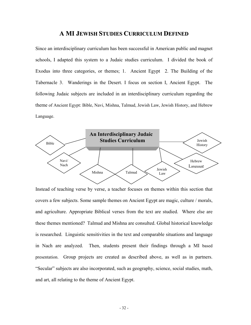## **A MI JEWISH STUDIES CURRICULUM DEFINED**

Since an interdisciplinary curriculum has been successful in American public and magnet schools, I adapted this system to a Judaic studies curriculum. I divided the book of Exodus into three categories, or themes; 1. Ancient Egypt 2. The Building of the Tabernacle 3. Wanderings in the Desert. I focus on section I, Ancient Egypt. The following Judaic subjects are included in an interdisciplinary curriculum regarding the theme of Ancient Egypt: Bible, Navi, Mishna, Talmud, Jewish Law, Jewish History, and Hebrew Language.



Instead of teaching verse by verse, a teacher focuses on themes within this section that covers a few subjects. Some sample themes on Ancient Egypt are magic, culture / morals, and agriculture. Appropriate Biblical verses from the text are studied. Where else are these themes mentioned? Talmud and Mishna are consulted. Global historical knowledge is researched. Linguistic sensitivities in the text and comparable situations and language in Nach are analyzed. Then, students present their findings through a MI based presentation. Group projects are created as described above, as well as in partners. "Secular" subjects are also incorporated, such as geography, science, social studies, math, and art, all relating to the theme of Ancient Egypt.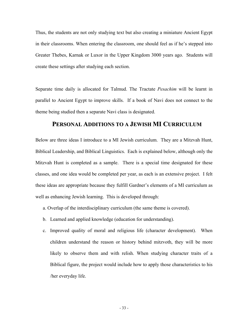<span id="page-32-0"></span>Thus, the students are not only studying text but also creating a miniature Ancient Egypt in their classrooms. When entering the classroom, one should feel as if he's stepped into Greater Thebes, Karnak or Luxor in the Upper Kingdom 3000 years ago. Students will create these settings after studying each section.

Separate time daily is allocated for Talmud. The Tractate *Pesachim* will be learnt in parallel to Ancient Egypt to improve skills. If a book of Navi does not connect to the theme being studied then a separate Navi class is designated.

#### **PERSONAL ADDITIONS TO A JEWISH MI CURRICULUM**

Below are three ideas I introduce to a MI Jewish curriculum. They are a Mitzvah Hunt, Biblical Leadership, and Biblical Linguistics. Each is explained below, although only the Mitzvah Hunt is completed as a sample. There is a special time designated for these classes, and one idea would be completed per year, as each is an extensive project. I felt these ideas are appropriate because they fulfill Gardner's elements of a MI curriculum as well as enhancing Jewish learning. This is developed through:

- a. Overlap of the interdisciplinary curriculum (the same theme is covered).
- b. Learned and applied knowledge (education for understanding).
- c. Improved quality of moral and religious life (character development). When children understand the reason or history behind mitzvoth, they will be more likely to observe them and with relish. When studying character traits of a Biblical figure, the project would include how to apply those characteristics to his /her everyday life.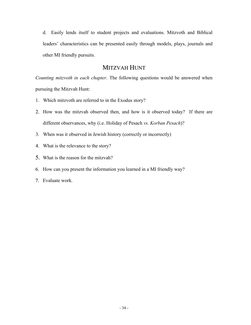<span id="page-33-0"></span>d. Easily lends itself to student projects and evaluations. Mitzvoth and Biblical leaders' characteristics can be presented easily through models, plays, journals and other MI friendly pursuits.

# MITZVAH HUNT

*Counting mitzvoth in each chapter*. The following questions would be answered when pursuing the Mitzvah Hunt:

- 1. Which mitzvoth are referred to in the Exodus story?
- 2. How was the mitzvah observed then, and how is it observed today? If there are different observances, why (i.e. Holiday of Pesach *vs. Korban Pesach*)?
- 3. When was it observed in Jewish history (correctly or incorrectly)
- 4. What is the relevance to the story?
- 5. What is the reason for the mitzvah?
- 6. How can you present the information you learned in a MI friendly way?
- 7. Evaluate work.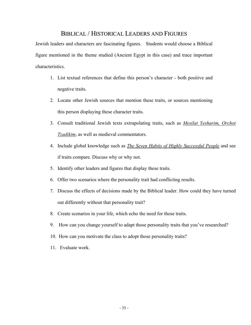## BIBLICAL / HISTORICAL LEADERS AND FIGURES

<span id="page-34-0"></span>Jewish leaders and characters are fascinating figures. Students would choose a Biblical figure mentioned in the theme studied (Ancient Egypt in this case) and trace important characteristics.

- 1. List textual references that define this person's character both positive and negative traits.
- 2. Locate other Jewish sources that mention these traits, or sources mentioning this person displaying these character traits.
- 3. Consult traditional Jewish texts extrapolating traits, such as *Mesilat Yesharim, Orchot Tzadikim*, as well as medieval commentators.
- 4. Include global knowledge such as *The Seven Habits of Highly Successful People* and see if traits compare. Discuss why or why not.
- 5. Identify other leaders and figures that display these traits.
- 6. Offer two scenarios where the personality trait had conflicting results.
- 7. Discuss the effects of decisions made by the Biblical leader. How could they have turned out differently without that personality trait?
- 8. Create scenarios in your life, which echo the need for those traits.
- 9. How can you change yourself to adapt those personality traits that you've researched?
- 10. How can you motivate the class to adopt those personality traits?
- 11. Evaluate work.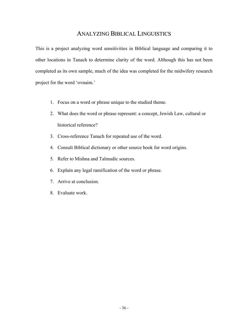## ANALYZING BIBLICAL LINGUISTICS

<span id="page-35-0"></span>This is a project analyzing word sensitivities in Biblical language and comparing it to other locations in Tanach to determine clarity of the word. Although this has not been completed as its own sample, much of the idea was completed for the midwifery research project for the word 'ovnaim.'

- 1. Focus on a word or phrase unique to the studied theme.
- 2. What does the word or phrase represent: a concept, Jewish Law, cultural or historical reference?
- 3. Cross-reference Tanach for repeated use of the word.
- 4. Consult Biblical dictionary or other source book for word origins.
- 5. Refer to Mishna and Talmudic sources.
- 6. Explain any legal ramification of the word or phrase.
- 7. Arrive at conclusion.
- 8. Evaluate work.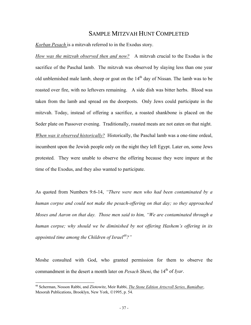### SAMPLE MITZVAH HUNT COMPLETED

*Korban Pesach* is a mitzvah referred to in the Exodus story.

*How was the mitzvah observed then and now?* A mitzvah crucial to the Exodus is the sacrifice of the Paschal lamb. The mitzvah was observed by slaying less than one year old unblemished male lamb, sheep or goat on the  $14<sup>th</sup>$  day of Nissan. The lamb was to be roasted over fire, with no leftovers remaining. A side dish was bitter herbs. Blood was taken from the lamb and spread on the doorposts. Only Jews could participate in the mitzvah. Today, instead of offering a sacrifice, a roasted shankbone is placed on the Seder plate on Passover evening. Traditionally, roasted meats are not eaten on that night. *When was it observed historically?* Historically, the Paschal lamb was a one-time ordeal, incumbent upon the Jewish people only on the night they left Egypt. Later on, some Jews protested. They were unable to observe the offering because they were impure at the time of the Exodus, and they also wanted to participate.

As quoted from Numbers 9:6-14, *"There were men who had been contaminated by a human corpse and could not make the pesach-offering on that day; so they approached Moses and Aaron on that day. Those men said to him, "We are contaminated through a human corpse; why should we be diminished by not offering Hashem's offering in its appointed time among the Children of Israel[48?](#page-36-0)"*

Moshe consulted with God, who granted permission for them to observe the commandment in the desert a month later on *Pesach Sheni*, the 14<sup>th</sup> of *Iyar*.

1

<span id="page-36-0"></span><sup>48</sup> Scherman, Nosson Rabbi, and Zlotowitz, Meir Rabbi, *The Stone Edition Artscroll Series, Bamidbar*, Mesorah Publications, Brooklyn, New York, ©1995, p. 54.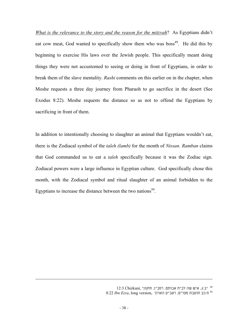*What is the relevance to the story and the reason for the mitzvah*? As Egyptians didn't eat cow meat, God wanted to specifically show them who was boss<sup>49</sup>. He did this by beginning to exercise His laws over the Jewish people. This specifically meant doing things they were not accustomed to seeing or doing in front of Egyptians, in order to break them of the slave mentality. *Rashi* comments on this earlier on in the chapter, when Moshe requests a three day journey from Pharaoh to go sacrifice in the desert (See Exodus 8:22). Moshe requests the distance so as not to offend the Egyptians by sacrificing in front of them.

In addition to intentionally choosing to slaughter an animal that Egyptians wouldn't eat, there is the Zodiacal symbol of the *taleh (lamb)* for the month of *Nissan*. *Ramban* claims that God commanded us to eat a *taleh* specifically because it was the Zodiac sign. Zodiacal powers were a large influence in Egyptian culture. God specifically chose this month, with the Zodiacal symbol and ritual slaughter of an animal forbidden to the Egyptians to increase the distance between the two nations<sup>50</sup>.

l

<span id="page-37-1"></span><span id="page-37-0"></span>יב:ג, איש שה לבית אבותם, רמב"ן, חזקוני ,Chizkuni 12:3 <sup>49</sup> ח:כב תועבת מצרים, ראב"ע הארוך ,version long ,*Ezra Ibn* 8:22 <sup>50</sup>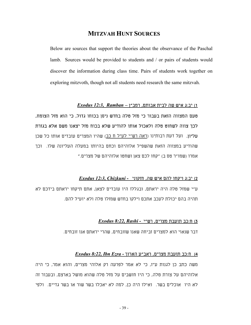## **MITZVAH HUNT SOURCES**

Below are sources that support the theories about the observance of the Paschal lamb. Sources would be provided to students and / or pairs of students would discover the information during class time. Pairs of students work together on exploring mitzvoth, though not all students need research the same mitzvah.

#### 1) יב:ג איש שה לבית אבותם, רמב"ן **–** *Ramban 12:3, Exodus*

טעם המצווה הזאת בעבור כי מזל טלה בחדש ניסן בכוחו גדול, כי הוא מזל הצומח, לכך צווה לשחוט טלה ולאכול אותו להודיע שלא בכוח מזל יצאנו משם אלא בגזרת עליון. ועל דעת רבותינו (ראה רש"י לעיל ח כב) שהיו המצרים עובדים אותו כל שכן שהודיע במצווה הזאת שהשפיל אלוהיהם וכחם בהיותו במעלה העליונה שלו. וכך אמרו (שמו"ר טס ב) "קחו לכם צאן ושחטו אלוהיהם של מצרים."

#### 2) יב:ג ויקחו להם איש שה, חזקוני **-** *Chizkuni 12:3, Exodus*

ע"י שמזל טלה היה יראתם, ובגללו היו עובדים לצאן, אתם תיקחו יראתם בידכם לא תהיה בהם יכולת לעכב אתכם וילקו בחדש שמזלו טלה ולא יועיל להם.

#### 3) ח:כב תועבת מצרים, רש"י **-** *Rashi 8:22, Exodus*

דבר שנאוי הוא למצרים זביחה שאנו שזובחים, שהרי יראתם אנו זובחים.

#### 4) ח:כב תועבת מצרים, ראב"ע הארוך **-** *Ezra Ibn 8:22, Exodus*

משה כתב כן לגנות ע"ז, כי לא אמר לפרעה רק אלוהי מצרים, והוא אמר, כי היה אלוהיהם על צורת טלה, כי היו חושבים על מזל טלה שהוא מושל בארצם, ובעבור זה לא היו אוכלים בשר. ואילו היה כן, למה לא יאכלו בשר שור או בשר גדיים. ולפי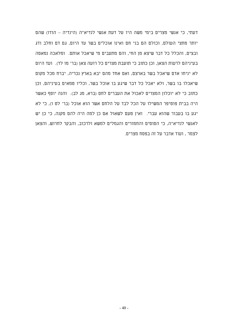דעתי, כי אנשי מצרים בימי משה היו על דעת אנשי לנדיא"ה (הינדיה – הודו) שהם יותר מחצי העולם, וכולם הם בני חם ואינו אוכלים בשר עד היום, גם דם וחלב ודג ובצים, והכלל כל דבר שיצא מן החי, והם מתעבים מי שיאכל אותם. ומלאכה נמאסה בעיניהם לרעות הצאן, וכן כתוב כי תועבת מצרים כל רועה צאן (בר' מו לד). ועד היום לא יניחו אדם שיאכל בשר בארצם, ואם אחד מהם יבא בארץ נכריה, יברח מכל מקום שיאכלו בו בשר, ולא יאכל כל דבר שיגע בו אוכל בשר, וכליו טמאים בעיניהם, וכן כתוב כי לא יוכלון המצרים לאכול את העברים לחם (ברא, מג לב). והנה יוסף כאשר היה בבית פוטיפר המשילו על הכל לבד על הלחם אשר הוא אוכל (בר' לט ו), כי לא יגע בו בעבור שהוא עברי. ואין טעם לשאול אם כן למה היה להם מקנה, כי כן יש לאנשי לנדיא"ה, כי הסוסים והחמורים והגמלים למשא ולרכוב, והבקר לחרוש, והצאן לצמר , ועוד אדבר על זה בפסח מצרים.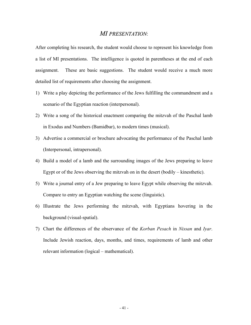### *MI PRESENTATION*:

After completing his research, the student would choose to represent his knowledge from a list of MI presentations. The intelligence is quoted in parentheses at the end of each assignment. These are basic suggestions. The student would receive a much more detailed list of requirements after choosing the assignment.

- 1) Write a play depicting the performance of the Jews fulfilling the commandment and a scenario of the Egyptian reaction (interpersonal).
- 2) Write a song of the historical enactment comparing the mitzvah of the Paschal lamb in Exodus and Numbers (Bamidbar), to modern times (musical).
- 3) Advertise a commercial or brochure advocating the performance of the Paschal lamb (Interpersonal, intrapersonal).
- 4) Build a model of a lamb and the surrounding images of the Jews preparing to leave Egypt or of the Jews observing the mitzvah on in the desert (bodily – kinesthetic).
- 5) Write a journal entry of a Jew preparing to leave Egypt while observing the mitzvah. Compare to entry an Egyptian watching the scene (linguistic).
- 6) Illustrate the Jews performing the mitzvah, with Egyptians hovering in the background (visual-spatial).
- 7) Chart the differences of the observance of the *Korban Pesach* in *Nissan* and *Iyar*. Include Jewish reaction, days, months, and times, requirements of lamb and other relevant information (logical – mathematical).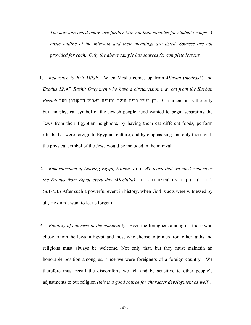*The mitzvoth listed below are further Mitzvah hunt samples for student groups. A basic outline of the mitzvoth and their meanings are listed*. *Sources are not provided for each. Only the above sample has sources for complete lessons.* 

- 1. *Reference to Brit Milah:* When Moshe comes up from *Midyan* (*medrash*) and *Exodus 12:47, Rashi: Only men who have a circumcision may eat from the Korban*  only the is Circumcision .רק בעלי ברית מילה יכולים לאכול מהקורבן פסח *Pesach* built-in physical symbol of the Jewish people. God wanted to begin separating the Jews from their Egyptian neighbors, by having them eat different foods, perform rituals that were foreign to Egyptian culture, and by emphasizing that only those with the physical symbol of the Jews would be included in the mitzvah.
- 2. *Remembrance of Leaving Egypt, Exodus 13:3 We learn that we must remember the Exodus from Egypt every day (Mechilta)* יום בכל מצרים יציאת שמזכירין למד (מכילתא (After such a powerful event in history, when God 's acts were witnessed by all, He didn't want to let us forget it.
- *3. Equality of converts in the community*. Even the foreigners among us, those who chose to join the Jews in Egypt, and those who choose to join us from other faiths and religions must always be welcome. Not only that, but they must maintain an honorable position among us, since we were foreigners of a foreign country. We therefore must recall the discomforts we felt and be sensitive to other people's adjustments to our religion *(this is a good source for character development as well*).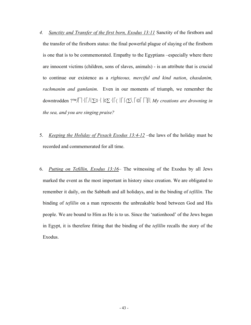- *4. Sanctity and Transfer of the first born, Exodus 13:11* Sanctity of the firstborn and the transfer of the firstborn status: the final powerful plague of slaying of the firstborn is one that is to be commemorated. Empathy to the Egyptians –especially where there are innocent victims (children, sons of slaves, animals) - is an attribute that is crucial to continue our existence as a *righteous, merciful and kind nation*, c*hasdanim, rachmanim and gamlanim*. Even in our moments of triumph, we remember the downtrodden ? ∑◊ ◊∑ 〈 〈∑ ∫ *My creations are drowning in the sea, and you are singing praise?*
- 5. *Keeping the Holiday of Pesach Exodus 13:4-12* –the laws of the holiday must be recorded and commemorated for all time.
- 6. *Putting on Tefillin, Exodus 13:16* The witnessing of the Exodus by all Jews marked the event as the most important in history since creation. We are obligated to remember it daily, on the Sabbath and all holidays, and in the binding of *tefillin*. The binding of *tefillin* on a man represents the unbreakable bond between God and His people. We are bound to Him as He is to us. Since the 'nationhood' of the Jews began in Egypt, it is therefore fitting that the binding of the *tefillin* recalls the story of the Exodus.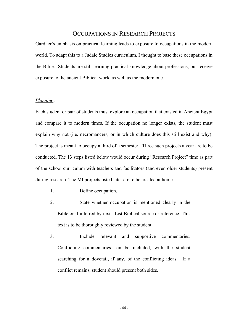## OCCUPATIONS IN RESEARCH PROJECTS

Gardner's emphasis on practical learning leads to exposure to occupations in the modern world. To adapt this to a Judaic Studies curriculum, I thought to base these occupations in the Bible. Students are still learning practical knowledge about professions, but receive exposure to the ancient Biblical world as well as the modern one.

#### *Planning*:

Each student or pair of students must explore an occupation that existed in Ancient Egypt and compare it to modern times. If the occupation no longer exists, the student must explain why not (i.e. necromancers, or in which culture does this still exist and why). The project is meant to occupy a third of a semester. Three such projects a year are to be conducted. The 13 steps listed below would occur during "Research Project" time as part of the school curriculum with teachers and facilitators (and even older students) present during research. The MI projects listed later are to be created at home.

- 1. Define occupation.
- 2. State whether occupation is mentioned clearly in the Bible or if inferred by text. List Biblical source or reference. This text is to be thoroughly reviewed by the student.
- 3. Include relevant and supportive commentaries. Conflicting commentaries can be included, with the student searching for a dovetail, if any, of the conflicting ideas. If a conflict remains, student should present both sides.

- 44 -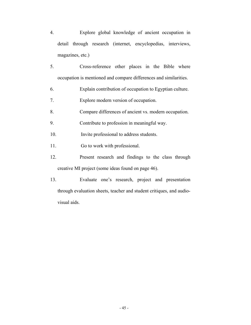- 4. Explore global knowledge of ancient occupation in detail through research (internet, encyclopedias, interviews, magazines, etc.)
- 5. Cross-reference other places in the Bible where occupation is mentioned and compare differences and similarities.
- 6. Explain contribution of occupation to Egyptian culture.
- 7. Explore modern version of occupation.
- 8. Compare differences of ancient vs. modern occupation.
- 9. Contribute to profession in meaningful way.
- 10. Invite professional to address students.
- 11. Go to work with professional.
- 12. Present research and findings to the class through creative MI project (some ideas found on page 46).
- 13. Evaluate one's research, project and presentation through evaluation sheets, teacher and student critiques, and audiovisual aids.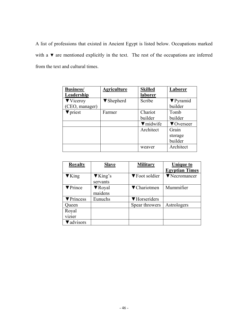A list of professions that existed in Ancient Egypt is listed below. Occupations marked with a ▼ are mentioned explicitly in the text. The rest of the occupations are inferred from the text and cultural times.

| <b>Business/</b>             | <b>Agriculture</b>            | <b>Skilled</b>   | Laborer          |
|------------------------------|-------------------------------|------------------|------------------|
| Leadership                   |                               | laborer          |                  |
| $\blacktriangledown$ Viceroy | $\blacktriangledown$ Shepherd | Scribe           | $\nabla$ Pyramid |
| (CEO, manager)               |                               |                  | builder          |
| $\blacktriangledown$ priest  | Farmer                        | Chariot          | Tomb             |
|                              |                               | builder          | builder          |
|                              |                               | $\nabla$ midwife | ▼ Overseer       |
|                              |                               | Architect        | Grain            |
|                              |                               |                  | storage          |
|                              |                               |                  | builder          |
|                              |                               | weaver           | Architect        |

| <b>Royalty</b>            | <b>Slave</b>                | <b>Military</b> | <b>Unique to</b>      |
|---------------------------|-----------------------------|-----------------|-----------------------|
|                           |                             |                 | <b>Egyptian Times</b> |
| $\blacktriangledown$ King | $\blacktriangledown$ King's | ▼ Foot soldier  | ▼ Necromancer         |
|                           | servants                    |                 |                       |
| ▼ Prince                  | $\nabla$ Royal              | ▼ Chariotmen    | Mummifier             |
|                           | maidens                     |                 |                       |
| ▼ Princess                | Eunuchs                     | ▼ Horseriders   |                       |
| Queen                     |                             | Spear throwers  | Astrologers           |
| Royal                     |                             |                 |                       |
| vizier                    |                             |                 |                       |
| <i>d</i> advisors         |                             |                 |                       |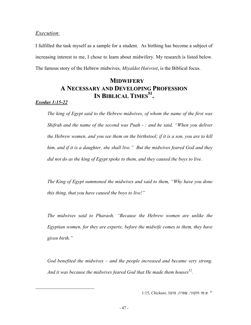### *Execution*:

I fulfilled the task myself as a sample for a student. As birthing has become a subject of increasing interest to me, I chose to learn about midwifery. My research is listed below. The famous story of the Hebrew midwives, *Miyaldot Haivriot*, is the Biblical focus.

## **MIDWIFERY A NECESSARY AND DEVELOPING PROFESSION IN BIBLICAL TIMES[51](#page-46-0) .**

### *Exodus 1:15-22*

*The king of Egypt said to the Hebrew midwives, of whom the name of the first was Shifrah and the name of the second was Puah - : and he said, "When you deliver the Hebrew women, and you see them on the birthstool; if it is a son, you are to kill him, and if it is a daughter, she shall live." But the midwives feared God and they did not do as the king of Egypt spoke to them, and they caused the boys to live.* 

*The King of Egypt summoned the midwives and said to them, "Why have you done this thing, that you have caused the boys to live!"* 

*The midwives said to Pharaoh, "Because the Hebrew women are unlike the Egyptian women, for they are experts; before the midwife comes to them, they have given birth."* 

<span id="page-46-1"></span>*God benefited the midwives – and the people increased and became very strong. And it was because the midwives feared God that He made them houses[52.](#page-46-1)* 

<span id="page-46-0"></span><sup>א</sup>:טו חזקוני, שפרה, פועה ,*Chizkuni* 1:15, <sup>51</sup>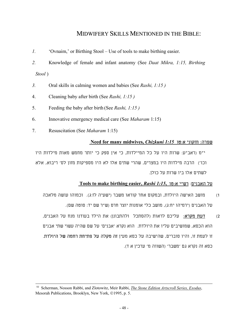## MIDWIFERY SKILLS MENTIONED IN THE BIBLE:

- *1.* 'Ovnaim,' or Birthing Stool Use of tools to make birthing easier.
- *2.* Knowledge of female and infant anatomy (See *Daat Mikra, 1:15, Birthing Stool* )
- *3.* Oral skills in calming women and babies (See *Rashi, 1:15 )*
- 4. Cleaning baby after birth (See *Rashi, 1:15 )*
- 5. Feeding the baby after birth (See *Rashi, 1:15 )*
- 6. Innovative emergency medical care (See *Maharam* 1:15)
- 7. Resuscitation (See *Maharam* 1:15)

l

### **Need for many midwives,** *Chizkuni 1:15* טו:א חזקוני :שפרה

י"מ (ראב"ע: שרות היו על כל המיילדות, כי אין ספק כי יותר מחמש מאות מילדות היו וכו') הרבה מילדות היו במצרים, שהרי שתים אלו לא היו מספיקות מזון לס' ריבוא, אלא לשתים אלו ביו שרות על כולן.

### על האבנים: רש"י א:טו*1:15***,** *Rashi* **,easier birthing make to Tools**

- 1) מושב האישה היולדת, ובמקום אחר קוראו משבר (ישעיה לז:ג). וכמוהו עושה מלאכה על האבנים (ירמיהו יח:ג), מושב כלי אומנות יוצר חרס (ש"ר שם יד: סוטה שם).
- 2) דעת מקרא: עליכם לראות (להסתכל ולהתבונן) את הילד בעודנו מנח על האבנים, הוא הכסא, שמושיבים עליו את היולדת. הוא נקרא 'אבנים' על שם שהיה עשוי שתי אבנים זו לעמת זו, והיו סוברים, שהישיבה על כסא מעין זה מקלה על פתיחת רחמה של היולדת. כסא זה נקרא גם 'משבר' (השווה מ' ערכין א ד).

<sup>52</sup> Scherman, Nosson Rabbi, and Zlotowitz, Meir Rabbi, *The Stone Edition Artscroll Series, Exodus*, Mesorah Publications, Brooklyn, New York, ©1995, p. 5.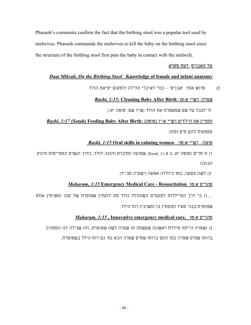Pharaoh's comments confirm the fact that the birthing stool was a popular tool used by midwives. Pharaoh commands the midwives to kill the baby on the birthing stool since the structure of the birthing stool first puts the baby in contact with the midwife.

### על האבנים: דעת מקרא

### *Daat Mikrah, On the Birthing Stool*:**Knowledge of female and infant anatomy**

3) פרוש אחר: 'אבנים' – כנוי לאיברי הלידה ולמקום יציאת הולד.

### שפרה: רש"י א:טו: **Birth After Baby Cleaning** *1:15***:** *,Rashi*

זו יוכבד על שם שמשפרת את הולד (ש"ר שם: סוטה יא:)

# ותחיין את הילדים רש"י א:יז (סוטה) **:Birth After Baby Feeding***)**Sotah (1:17 ,Rashi* מספקות להם מים ומזון

### *Rashi, 1:15* **Oral skills in calming women** :טו:א י"רש :פועה

1) זו מרים (סוטה יא, ב *B11: ,Sotah* (שפועה ומדברת והוגה לולד, כדרך הנשים המפייסות תינוק הבוכה

2) לשון צעקה, כמו כיולדה אפעה (ישעיה מב:יד)

### *Maharam, 1:15* **Emergency Medical Care - Resuscitation** טו:א ם"מהר

...1) כי דרך המיילדות לפעמים כשהוולד נולד מת לוקחין שפופרת של קנה ומשימין אותו שפופרת בבני מעיו ומנפחין בו ומשיבין רוח הילד.

### *Maharam, 1:15 ,* **Innovative emergency medical care,** טו:א ם"מהר

2) ושפרה הייתה מילדת ראשונה שעשתה זה שפרה לשון שפופרת, וזה שגילה לנו המסורה

ברוחו שמים שפרה כמו התם ברוחו שמים שפרה הכא נמי גם רוח הילד בשפופרת.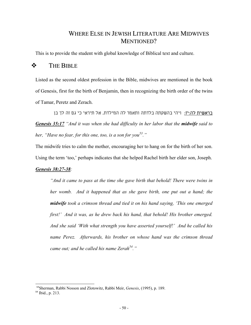## WHERE ELSE IN JEWISH LITERATURE ARE MIDWIVES MENTIONED?

This is to provide the student with global knowledge of Biblical text and culture.

### **THE BIBLE**

Listed as the second oldest profession in the Bible, midwives are mentioned in the book of Genesis, first for the birth of Benjamin, then in recognizing the birth order of the twins of Tamar, Peretz and Zerach.

בראשית לה:יז: ויהי בהשקתה בלדתה ותאמר לה המילדת, אל תיראי כי גם זה לך בן *Genesis 35:17 "And it was when she had difficulty in her labor that the midwife said to her, "Have no fear, for this one, too, is a son for you[53.](#page-49-0)"* 

The midwife tries to calm the mother, encouraging her to hang on for the birth of her son. Using the term 'too,' perhaps indicates that she helped Rachel birth her elder son, Joseph. *Genesis 38:27-38:* 

*"And it came to pass at the time she gave birth that behold! There were twins in her womb. And it happened that as she gave birth, one put out a hand; the midwife took a crimson thread and tied it on his hand saying, 'This one emerged first!' And it was, as he drew back his hand, that behold! His brother emerged. And she said 'With what strength you have asserted yourself!' And he called his name Perez. Afterwards, his brother on whose hand was the crimson thread came out; and he called his name Zerah*<sup>54</sup>."

<span id="page-49-0"></span><sup>53</sup>Sherman, Rabbi Nosson and Zlotowitz, Rabbi Meir, *Genesis*, (1995), p. 189.

<span id="page-49-1"></span><sup>54</sup> Ibid., p. 213.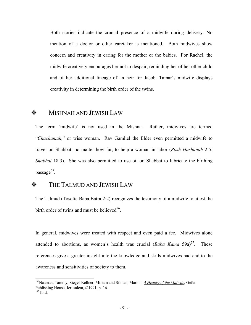Both stories indicate the crucial presence of a midwife during delivery. No mention of a doctor or other caretaker is mentioned. Both midwives show concern and creativity in caring for the mother or the babies. For Rachel, the midwife creatively encourages her not to despair, reminding her of her other child and of her additional lineage of an heir for Jacob. Tamar's midwife displays creativity in determining the birth order of the twins.

## **MISHNAH AND JEWISH LAW**

The term 'midwife' is not used in the Mishna. Rather, midwives are termed "*Chachamah*," or wise woman. Rav Gamliel the Elder even permitted a midwife to travel on Shabbat, no matter how far, to help a woman in labor (*Rosh Hashanah* 2:5; *Shabbat* 18:3). She was also permitted to use oil on Shabbat to lubricate the birthing passage $55$ .

## THE TALMUD AND JEWISH LAW

The Talmud (Tosefta Baba Batra 2:2) recognizes the testimony of a midwife to attest the birth order of twins and must be believed<sup>56</sup>.

In general, midwives were treated with respect and even paid a fee. Midwives alone attended to abortions, as women's health was crucial  $(Baba Kama 59a)^{57}$ . These references give a greater insight into the knowledge and skills midwives had and to the awareness and sensitivities of society to them.

<span id="page-50-2"></span><span id="page-50-0"></span><sup>55</sup>Naaman, Tammy, Siegel-Kellner, Miriam and Silman, Marion, *A History of the Midwife*, Gefen Publishing House, Jerusalem, ©1991, p. 16.

<span id="page-50-1"></span><sup>56</sup> Ibid.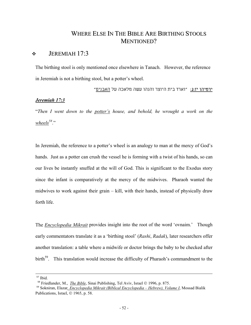## WHERE ELSE IN THE BIBLE ARE BIRTHING STOOLS MENTIONED?

## $\div$  JEREMIAH 17:3

The birthing stool is only mentioned once elsewhere in Tanach. However, the reference in Jeremiah is not a birthing stool, but a potter's wheel.

ירמיהו יז:ג: "וארד בית היוצר והנהו עשה מלאכה על האבנים"

### *Jeremiah 17:3*

"*Then I went down to the potter's house, and behold, he wrought a work on the wheels[58](#page-51-0)*."

In Jeremiah, the reference to a potter's wheel is an analogy to man at the mercy of God's hands. Just as a potter can crush the vessel he is forming with a twist of his hands, so can our lives be instantly snuffed at the will of God. This is significant to the Exodus story since the infant is comparatively at the mercy of the midwives. Pharaoh wanted the midwives to work against their grain – kill, with their hands, instead of physically draw forth life.

The *Encyclopedia Mikrait* provides insight into the root of the word 'ovnaim.' Though early commentators translate it as a 'birthing stool' (*Rashi*, *Radak*), later researchers offer another translation: a table where a midwife or doctor brings the baby to be checked after birth<sup>59</sup>. This translation would increase the difficulty of Pharaoh's commandment to the

l

<sup>57</sup> Ibid.

<span id="page-51-0"></span><sup>&</sup>lt;sup>58</sup> Friedlander, M., *The Bible*, Sinai Publishing, Tel Aviv, Israel © 1996, p. 875.

<span id="page-51-1"></span><sup>59</sup> Sokniran, Elazar*, Encyclopedia Mikrait (Biblical Encyclopedia – Hebrew), Volume I*, Mossad Bialik Publications, Israel,  $\odot$  1965, p. 58.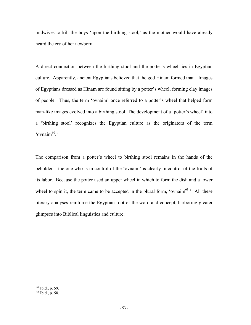midwives to kill the boys 'upon the birthing stool,' as the mother would have already heard the cry of her newborn.

A direct connection between the birthing stool and the potter's wheel lies in Egyptian culture. Apparently, ancient Egyptians believed that the god Hinam formed man. Images of Egyptians dressed as Hinam are found sitting by a potter's wheel, forming clay images of people. Thus, the term 'ovnaim' once referred to a potter's wheel that helped form man-like images evolved into a birthing stool. The development of a 'potter's wheel' into a 'birthing stool' recognizes the Egyptian culture as the originators of the term 'ovnaim $^{60}$ '

The comparison from a potter's wheel to birthing stool remains in the hands of the beholder – the one who is in control of the 'ovnaim' is clearly in control of the fruits of its labor. Because the potter used an upper wheel in which to form the dish and a lower wheel to spin it, the term came to be accepted in the plural form, 'ovnaim<sup>61</sup>.' All these literary analyses reinforce the Egyptian root of the word and concept, harboring greater glimpses into Biblical linguistics and culture.

<span id="page-52-0"></span><sup>60</sup> Ibid., p. 59.

<span id="page-52-1"></span><sup>61</sup> Ibid., p. 58.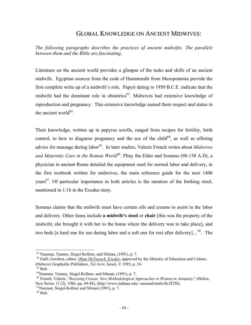## GLOBAL KNOWLEDGE ON ANCIENT MIDWIVES:

*The following paragraphs describes the practices of ancient midwifes. The parallels between them and the Bible are fascinating.* 

Literature on the ancient world provides a glimpse of the tasks and skills of an ancient midwife. Egyptian sources from the code of Hammurabi from Mesopotamia provide the first complete write up of a midwife's role. Papyri dating to 1950 B.C.E. indicate that the midwife had the dominant role in obstetrics<sup>62</sup>. Midwives had extensive knowledge of reproduction and pregnancy. This extensive knowledge earned them respect and status in the ancient world $63$ .

Their knowledge, written up in papyrus scrolls, ranged from recipes for fertility, birth control, to how to diagnose pregnancy and the sex of the child<sup>64</sup>, as well as offering advice for massage during labor<sup>65</sup>. In later studies, Valerie French writes about *Midwives and Maternity Care in the Roman World*<sup>66</sup>. Pliny the Elder and Soranus (98-138 A.D), a physician in ancient Rome detailed the equipment used for normal labor and delivery, in the first textbook written for midwives, the main reference guide for the next 1400 years<sup>67</sup>. Of particular importance in both articles is the mention of the birthing stool, mentioned in 1:16 in the Exodus story.

Soranus claims that the midwife must have certain oils and creams to assist in the labor and delivery. Other items include **a midwife's stool** or **chair** [this was the property of the midwife; she brought it with her to the home where the delivery was to take place], and two beds [a hard one for use during labor and a soft one for rest after delivery]...<sup>68</sup>. The

 $\overline{a}$ 

<span id="page-53-0"></span><sup>62</sup> Naaman, Tammy, Siegel-Kellner, and Silman, (1991), p. 7.

<span id="page-53-1"></span><sup>63</sup> Galil, Gershon, editor, *Olam HaTanach, Exodus*, approved by the Ministry of Education and Culture, (Hebrew) Grapholite Publishers, Tel Aviv, Israel, © 1993, p. 24.

<span id="page-53-2"></span> $64$  Ibid.

<span id="page-53-3"></span><sup>65</sup>Naaman, Tammy, Siegel-Kellner, and Silman, (1991), p. 7.

<span id="page-53-4"></span><sup>66</sup> French, Valerie, "*Rescuing Creusa: New Methodological Approaches to Women in Antiquity*," (Helios, New Series 13 (2), 1986, pp. 69-84), (http://www.indiana.edu/~ancmed/midwife.HTM).

<span id="page-53-5"></span><sup>67</sup>Naaman, Siegel-Kellner and Silman (1991), p. 7.

<span id="page-53-6"></span><sup>68</sup> Ibid.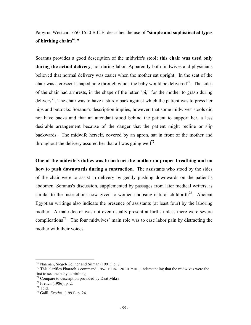## Papyrus Westcar 1650-1550 B.C.E. describes the use of "**simple and sophisticated types of birthing chairs[69."](#page-54-0)**

Soranus provides a good description of the midwife's stool**; this chair was used only during the actual delivery**, not during labor. Apparently both midwives and physicians believed that normal delivery was easier when the mother sat upright. In the seat of the chair was a crescent-shaped hole through which the baby would be delivered<sup>70</sup>. [The](#page-54-1) sides of the chair had armrests, in the shape of the letter "pi," for the mother to grasp during delivery<sup>71</sup>. The [ch](#page-54-2)air was to have a sturdy back against which the patient was to press her hips and buttocks. Soranus's description implies, however, that some midwives' stools did not have backs and that an attendant stood behind the patient to support her, a less desirable arrangement because of the danger that the patient might recline or slip backwards. The midwife herself, covered by an apron, sat in front of the mother and throughout the delivery assured her that all was going well<sup>72</sup>.

**One of the midwife's duties was to instruct the mother on proper breathing and on how to push downwards during a contraction**. The assistants who stood by the sides of the chair were to assist in delivery by gently pushing downwards on the patient's abdomen. Soranus's discussion, supplemented by passages from later medical writers, is similar to the instructions now given to women choosing natural childbirth<sup>73</sup>. Ancient Egyptian writings also indicate the presence of assistants (at least four) by the laboring mother. A male doctor was not even usually present at births unless there were severe complications<sup>74</sup>. The four midwives' main role was to ease labor pain by distracting the mother with their voices.

<span id="page-54-0"></span><sup>69</sup> Naaman, Siegel-Kellner and Silman (1991), p. 7.

<span id="page-54-1"></span><sup>&</sup>lt;sup>70</sup> This clarifies Pharaoh's command, ותראינה על האבנים א:This clarifies Pharaoh's command, ותראינה על האבנים first to see the baby at birthing.

<span id="page-54-2"></span><sup>&</sup>lt;sup>71</sup> Compare to description provided by Daat Mikra

<span id="page-54-3"></span> $72$  French (1986), p. 2.

<span id="page-54-4"></span><sup>73</sup> Ibid.

<span id="page-54-5"></span><sup>74</sup> Galil, *Exodus*, (1993), p. 24.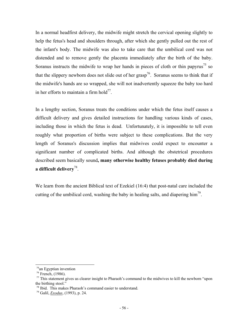In a normal headfirst delivery, the midwife might stretch the cervical opening slightly to help the fetus's head and shoulders through, after which she gently pulled out the rest of the infant's body. The midwife was also to take care that the umbilical cord was not distended and to remove gently the placenta immediately after the birth of the baby. Soranus instructs the midwife to wrap her hands in pieces of cloth or thin papyrus<sup>75</sup> so that the slippery newborn does not slide out of her grasp<sup>76</sup>. Soranus seems to think that if the midwife's hands are so wrapped, she will not inadvertently squeeze the baby too hard in her efforts to maintain a firm  $hold^{77}$ .

In a lengthy section, Soranus treats the conditions under which the fetus itself causes a difficult delivery and gives detailed instructions for handling various kinds of cases, including those in which the fetus is dead. Unfortunately, it is impossible to tell even roughly what proportion of births were subject to these complications. But the very length of Soranus's discussion implies that midwives could expect to encounter a significant number of complicated births. And although the obstetrical procedures described seem basically sound**, many otherwise healthy fetuses probably died during a difficult delivery**[78.](#page-55-3)

We learn from the ancient Biblical text of Ezekiel (16:4) that post-natal care included the cutting of the umbilical cord, washing the baby in healing salts, and diapering him<sup>79</sup>.

1

<span id="page-55-0"></span><sup>&</sup>lt;sup>75</sup>an Egyptian invention

<span id="page-55-1"></span> $76$  French, (1986).

<span id="page-55-2"></span><sup>&</sup>lt;sup>77</sup> This statement gives us clearer insight to Pharaoh's command to the midwives to kill the newborn "upon" the birthing stool."

<span id="page-55-3"></span><sup>78</sup> Ibid. This makes Pharaoh's command easier to understand.

<span id="page-55-4"></span><sup>79</sup> Galil, *Exodus*, (1993), p. 24.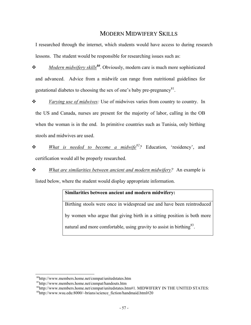## MODERN MIDWIFERY SKILLS

I researched through the internet, which students would have access to during research lessons. The student would be responsible for researching issues such as:

- *Modern midwifery skills[80](#page-56-0)*. Obviously, modern care is much more sophisticated and advanced. Advice from a midwife can range from nutritional guidelines for gestational diabetes to choosing the sex of one's baby pre-pregnancy $81$ .
- *Varying use of midwives:* Use of midwives varies from country to country. In the US and Canada, nurses are present for the majority of labor, calling in the OB when the woman is in the end. In primitive countries such as Tunisia, only birthing stools and midwives are used.
- *What is needed to become a midwif[e82?](#page-56-2)* Education, 'residency', and certification would all be properly researched.
- *What are similarities between ancient and modern midwifery?* An example is

listed below, where the student would display appropriate information.

## **Similarities between ancient and modern midwifery:**

Birthing stools were once in widespread use and have been reintroduced by women who argue that giving birth in a sitting position is both more natural and more comfortable, using gravity to assist in birthing  $83$ .

<span id="page-56-0"></span><sup>80</sup>http://www.members.home.net/cnmpat/unitedstates.htm

<span id="page-56-1"></span><sup>81</sup>http://www.members.home.net/cnmpat/handouts.htm

<span id="page-56-2"></span> $82$ http://www.members.home.net/cnmpat/unitedstates.htm#1. MIDWIFERY IN THE UNITED STATES:

<span id="page-56-3"></span> $83$ http://www.wsu.edu:8000/~brians/science\_fiction/handmaid.html#20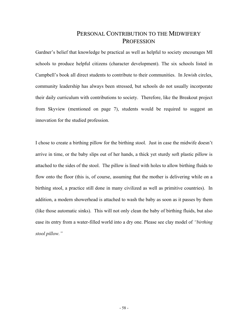## PERSONAL CONTRIBUTION TO THE MIDWIFERY **PROFESSION**

Gardner's belief that knowledge be practical as well as helpful to society encourages MI schools to produce helpful citizens (character development). The six schools listed in Campbell's book all direct students to contribute to their communities. In Jewish circles, community leadership has always been stressed, but schools do not usually incorporate their daily curriculum with contributions to society. Therefore, like the Breakout project from Skyview (mentioned on page 7), students would be required to suggest an innovation for the studied profession.

I chose to create a birthing pillow for the birthing stool. Just in case the midwife doesn't arrive in time, or the baby slips out of her hands, a thick yet sturdy soft plastic pillow is attached to the sides of the stool. The pillow is lined with holes to allow birthing fluids to flow onto the floor (this is, of course, assuming that the mother is delivering while on a birthing stool, a practice still done in many civilized as well as primitive countries). In addition, a modern showerhead is attached to wash the baby as soon as it passes by them (like those automatic sinks). This will not only clean the baby of birthing fluids, but also ease its entry from a water-filled world into a dry one. Please see clay model of *"birthing stool pillow."*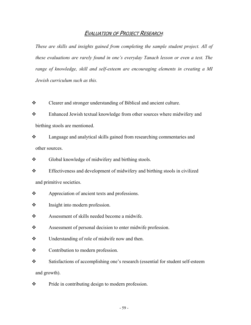### **EVALUATION OF PROJECT RESEARCH:**

*These are skills and insights gained from completing the sample student project. All of these evaluations are rarely found in one's everyday Tanach lesson or even a test. The range of knowledge, skill and self-esteem are encouraging elements in creating a MI Jewish curriculum such as this.* 

\* Clearer and stronger understanding of Biblical and ancient culture.

\* Enhanced Jewish textual knowledge from other sources where midwifery and birthing stools are mentioned.

 Language and analytical skills gained from researching commentaries and other sources.

❖ Global knowledge of midwifery and birthing stools.

\* Effectiveness and development of midwifery and birthing stools in civilized and primitive societies.

❖ Appreciation of ancient texts and professions.

 $\triangle$  Insight into modern profession.

Assessment of skills needed become a midwife.

\* Assessment of personal decision to enter midwife profession.

• Understanding of role of midwife now and then.

❖ Contribution to modern profession.

 Satisfactions of accomplishing one's research (essential for student self-esteem and growth).

 $\mathbf{\hat{P}}$  Pride in contributing design to modern profession.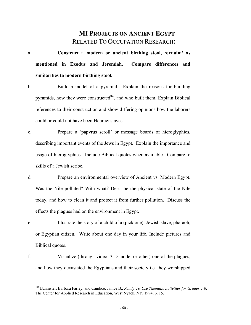## **MI PROJECTS ON ANCIENT EGYPT** RELATED TO OCCUPATION RESEARCH:

- **a. Construct a modern or ancient birthing stool, 'ovnaim' as mentioned in Exodus and Jeremiah. Compare differences and similarities to modern birthing stool.**
- b. Build a model of a pyramid. Explain the reasons for building pyramids, how they were constructed $84$ , and who built them. Explain Biblical references to their construction and show differing opinions how the laborers could or could not have been Hebrew slaves.
- c. Prepare a 'papyrus scroll' or message boards of hieroglyphics, describing important events of the Jews in Egypt. Explain the importance and usage of hieroglyphics. Include Biblical quotes when available. Compare to skills of a Jewish scribe.
- d. Prepare an environmental overview of Ancient vs. Modern Egypt. Was the Nile polluted? With what? Describe the physical state of the Nile today, and how to clean it and protect it from further pollution. Discuss the effects the plagues had on the environment in Egypt.
- e. Illustrate the story of a child of a (pick one): Jewish slave, pharaoh, or Egyptian citizen. Write about one day in your life. Include pictures and Biblical quotes.
- f. Visualize (through video, 3-D model or other) one of the plagues, and how they devastated the Egyptians and their society i.e. they worshipped

<span id="page-59-0"></span><sup>&</sup>lt;sup>84</sup> Bannister, Barbara Farley, and Candice, Janice B., *Ready-To-Use Thematic Activities for Grades 4-8*, The Center for Applied Research in Education, West Nyack, NY, 1994, p. 15.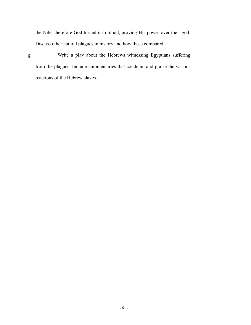the Nile, therefore God turned it to blood, proving His power over their god. Discuss other natural plagues in history and how these compared.

g. Write a play about the Hebrews witnessing Egyptians suffering from the plagues. Include commentaries that condemn and praise the various reactions of the Hebrew slaves.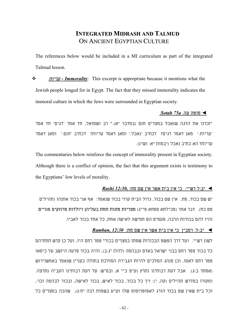## **INTEGRATED MIDRASH AND TALMUD** ON ANCIENT EGYPTIAN CULTURE

The references below would be included in a MI curriculum as part of the integrated Talmud lesson.

 עריות *- Immorality*: This excerpt is appropriate because it mentions what the Jewish people longed for in Egypt. The fact that they missed immorality indicates the immoral culture in which the Jews were surrounded in Egyptian society.

### **◄** סוטה עה. *a75 Sotah*

"זכרנו את הדגה שנאכל במצרים חנם (במדבר יא)." רב ושמואל, חד אמר 'דגים' חד אמר 'עריות.' מאן דאמר דגים? דכתיב 'נאכל.' ומאן דאמר עריות? דכתיב 'חנם.' ומאן דאמר עריות? הא כתיב נאכל (יבמות יא: וש"נ).

The commentaries below reinforce the concept of immorality present in Egyptian society. Although there is a conflict of opinion, the fact that this argument exists is testimony to the Egyptians' low levels of morality.

#### **◄** יב:ל רש"י: כי אין בית אשר אין שם מת:*12:30***,** *Rashi*

יש שם בכור, מת. אין שם בכור, גדול הבית קרוי בכור שנאמר: אף אני בכור אתנהו (תהילים פט כח). דבר אחר (מכילתא פסחא פי"ג) מצריות מזנות תחת בעליהן ויולדות מרווקים פנויים והיו להם בכורות הרבה, פעמים הם חמישה לאישה אחת, כל אחד בכור לאביו.

### **◄** יב:ל: רמב"ן כי אין בית אשר אין שם מת:*12:30 ,Ramban*

לשון רש"י. ועל דרך הפשט הבכורות שמתו במצרים בכורי פטר רחם היו, ועל כן קדש תחתיהם כל בכור פטר רחם בבני ישראל באדם ובבהמה (להלן יג:ב), והיה בכור פרעה היושב על כיסאו פטר רחם לאמו, וכן מנהג המלכים להיות הגבירה המולכת בתולה כעניין שנאמר באחשוירוש (אסתר ב:ג). אבל דעת רבותינו נתרץ (ע"פ כ"י א, ובס"ש: על דעת רבותינו הקב"ה נתרצה. ומקורו במדרש תהילים (קה, י): ויך כל בכור, בכור לאיש, בכור לאישה, ובכור לבהמה וכו', וכל בית שאין שם בכור הורג לאפוטרופוס שלו וע"ע בשמות רבה יח:ג). שהכה במצרים כל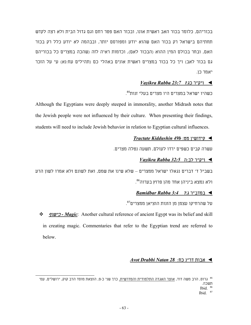בכוריהם, כלומר בכור האב ראשית אונו, ובכור האם פטר רחם וגם גדול הבית ולא רצה לקדש תחתיהם בישראל רק בכור האם שהוא יודע ומפורסם יותר, ובבהמה לא יודע כלל רק בכור האם, ובחר בכולם המין ההוא (הבכור לאם), וכדמות ראיה לזה (שהכה במצרים כל בכוריהם גם בכור לאב) ויך כל בכור במצרים ראשית אונים באהלי כם (תהילים עח:נא) עי על הזכר יאמר כן.

### **◄** ויק"ר כג:<sup>ז</sup>*23:7 Rabba Vayikra*

[85](#page-62-0) כשהיו ישראל במצרים היו מצרים בעלי זנות .

Although the Egyptians were deeply steeped in immorality, another Midrash notes that the Jewish people were not influenced by their culture. When presenting their findings, students will need to include Jewish behavior in relation to Egyptian cultural influences.

### *Tractate Kiddushin 49b* :מט קידושין**◄**

עשרה קבים כשפים ירדו לעולם, תשעה נטלה מצרים.

### **◄** ויק"ר לב:ה*32:5 Rabba Vayikra*

בשביל ד' דברים נגאלו ישראל ממצרים – שלא שינו את שמם, ואת לשונם ולא אמרו לשון הרע [86](#page-62-1) ולא נמצא ביניהן אחד מהן פרוץ בערוה .

#### **◄** במדב"ר ג:<sup>ד</sup>*3:4 Rabba Bamidbar*

 $.^{\rm 87}$  $.^{\rm 87}$  $.^{\rm 87}$ על שהרחיקו עצמן מן הזנות הוציאן ממצרים

 כישוף *- Magic*: Another cultural reference of ancient Egypt was its belief and skill in creating magic. Commentaries that refer to the Egyptian trend are referred to below.

### **◄** אבות דר"נ כח:*28 Natan Drabbi Avot*

<sup>&</sup>lt;sup>85</sup> גרוס, הרב משה דוד, <u>אוצר האגדה התלמודית והמדרשית,</u> כרך שני כ-פ, הוצאת מוסד הרב קוק, ירושלים, עמ'<br>תשכה. Ibid. 86

<span id="page-62-2"></span><span id="page-62-1"></span><span id="page-62-0"></span>Ibid. 87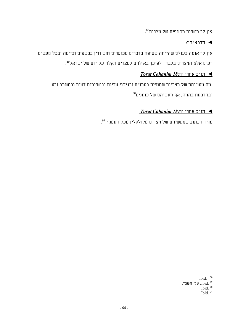[88](#page-63-0) אין לך כשפים ככשפים של מצרים .

### **◄** תדבא"ר ז:

אין לך אומה בעולם שהייתה שטופה בדברים מכוערים וחש ודין בכשפים ובזימה ובכל מעשים . [89](#page-63-1) רעים אלא המצרים בלבד. לפיכך בא להם למצרים תקלה על ידם של ישראל

### **◄** תו"כ אחרי יח*18*: *Cohanim Torat*

מה מעשיהם של מצריים שטופים בעכו"ם ובגילוי עריות ובשפיכות דמים ובמשכב זרע [90](#page-63-2) ובהרבעת בהמה, אף מעשיהם של כנענים .

### **◄** תו"כ אחרי יח*18*: *Cohanim Torat*

[91](#page-63-3) מגיד הכתוב שמעשיהם של מצרים מקולקלין מכל העממין .

<span id="page-63-3"></span><span id="page-63-2"></span><span id="page-63-1"></span><span id="page-63-0"></span>Ibid. 88 א .....<br>1bid. עמ׳ תשכד.<br>1bid. <sup>90</sup> Ibid.  $91$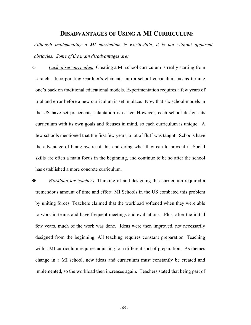### **DISADVANTAGES OF USING A MI CURRICULUM:**

*Although implementing a MI curriculum is worthwhile, it is not without apparent obstacles. Some of the main disadvantages are:* 

 *Lack of set curriculum*. Creating a MI school curriculum is really starting from scratch. Incorporating Gardner's elements into a school curriculum means turning one's back on traditional educational models. Experimentation requires a few years of trial and error before a new curriculum is set in place. Now that six school models in the US have set precedents, adaptation is easier. However, each school designs its curriculum with its own goals and focuses in mind, so each curriculum is unique. A few schools mentioned that the first few years, a lot of fluff was taught. Schools have the advantage of being aware of this and doing what they can to prevent it. Social skills are often a main focus in the beginning, and continue to be so after the school has established a more concrete curriculum.

 *Workload for teachers*. Thinking of and designing this curriculum required a tremendous amount of time and effort. MI Schools in the US combated this problem by uniting forces. Teachers claimed that the workload softened when they were able to work in teams and have frequent meetings and evaluations. Plus, after the initial few years, much of the work was done. Ideas were then improved, not necessarily designed from the beginning. All teaching requires constant preparation. Teaching with a MI curriculum requires adjusting to a different sort of preparation. As themes change in a MI school, new ideas and curriculum must constantly be created and implemented, so the workload then increases again. Teachers stated that being part of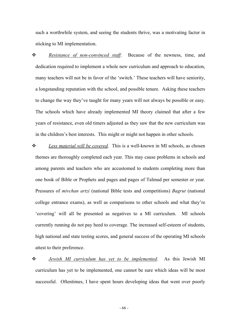such a worthwhile system, and seeing the students thrive, was a motivating factor in sticking to MI implementation.

 *Resistance of non-convinced staff*. Because of the newness, time, and dedication required to implement a whole new curriculum and approach to education, many teachers will not be in favor of the 'switch.' These teachers will have seniority, a longstanding reputation with the school, and possible tenure. Asking these teachers to change the way they've taught for many years will not always be possible or easy. The schools which have already implemented MI theory claimed that after a few years of resistance, even old timers adjusted as they saw that the new curriculum was in the children's best interests. This might or might not happen in other schools.

 *Less material will be covered*. This is a well-known in MI schools, as chosen themes are thoroughly completed each year. This may cause problems in schools and among parents and teachers who are accustomed to students completing more than one book of Bible or Prophets and pages and pages of Talmud per semester or year. Pressures of *mivchan artzi* (national Bible tests and competitions) *Bagrut* (national college entrance exams), as well as comparisons to other schools and what they're 'covering' will all be presented as negatives to a MI curriculum. MI schools currently running do not pay heed to coverage. The increased self-esteem of students, high national and state testing scores, and general success of the operating MI schools attest to their preference.

 *Jewish MI curriculum has yet to be implemented*. As this Jewish MI curriculum has yet to be implemented, one cannot be sure which ideas will be most successful. Oftentimes, I have spent hours developing ideas that went over poorly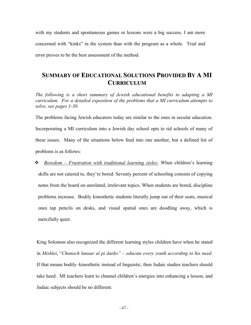with my students and spontaneous games or lessons were a big success. I am more concerned with "kinks" in the system than with the program as a whole. Trial and error proves to be the best assessment of the method.

## **SUMMARY OF EDUCATIONAL SOLUTIONS PROVIDED BY A MI CURRICULUM**

*The following is a short summary of Jewish educational benefits to adapting a MI curriculum. For a detailed exposition of the problems that a MI curriculum attempts to solve, see pages 1-30.* 

The problems facing Jewish educators today are similar to the ones in secular education. Incorporating a MI curriculum into a Jewish day school opts to rid schools of many of these issues. Many of the situations below feed into one another, but a defined list of problems is as follows:

 *Boredom – Frustration with traditional learning styles:* When children's learning skills are not catered to, they're bored. Seventy percent of schooling consists of copying notes from the board on unrelated, irrelevant topics. When students are bored, discipline problems increase. Bodily kinesthetic students literally jump out of their seats, musical ones tap pencils on desks, and visual spatial ones are doodling away, which is mercifully quiet.

King Solomon also recognized the different learning styles children have when he stated in *Mishlei*, "*Chanoch lanaar al pi darko" – educate every youth according to his need*. If that means bodily–kinesthetic instead of linguistic, then Judaic studies teachers should take heed. MI teachers learn to channel children's energies into enhancing a lesson, and Judaic subjects should be no different.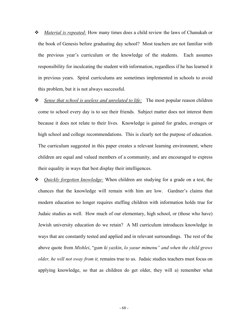- *Material is repeated:* How many times does a child review the laws of Chanukah or the book of Genesis before graduating day school? Most teachers are not familiar with the previous year's curriculum or the knowledge of the students. Each assumes responsibility for inculcating the student with information, regardless if he has learned it in previous years. Spiral curriculums are sometimes implemented in schools to avoid this problem, but it is not always successful.
- *Sense that school is useless and unrelated to life:* The most popular reason children come to school every day is to see their friends. Subject matter does not interest them because it does not relate to their lives. Knowledge is gained for grades, averages or high school and college recommendations. This is clearly not the purpose of education. The curriculum suggested in this paper creates a relevant learning environment, where children are equal and valued members of a community, and are encouraged to express their equality in ways that best display their intelligences.
- *Quickly forgotten knowledge:* When children are studying for a grade on a test, the chances that the knowledge will remain with him are low. Gardner's claims that modern education no longer requires stuffing children with information holds true for Judaic studies as well. How much of our elementary, high school, or (those who have) Jewish university education do we retain? A MI curriculum introduces knowledge in ways that are constantly tested and applied and in relevant surroundings. The rest of the above quote from *Mishlei*, "*gam ki yazkin*, *lo yasur mimenu" and when the child grows older, he will not sway from it,* remains true to us. Judaic studies teachers must focus on applying knowledge, so that as children do get older, they will a) remember what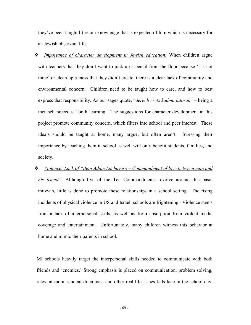they've been taught b) retain knowledge that is expected of him which is necessary for an Jewish observant life.

 *Importance of character development in Jewish education:* When children argue with teachers that they don't want to pick up a pencil from the floor because 'it's not mine' or clean up a mess that they didn't create, there is a clear lack of community and environmental concern. Children need to be taught how to care, and how to best express that responsibility. As our sages quote, "*derech eretz kadma latorah*" – being a mentsch precedes Torah learning. The suggestions for character development in this project promote community concern, which filters into school and peer interest. These ideals should be taught at home, many argue, but often aren't. Stressing their importance by teaching them in school as well will only benefit students, families, and society.

### *Violence: Lack of "Bein Adam Lachavero – Commandment of love between man and*

*his friend"*: Although five of the Ten Commandments revolve around this basic mitzvah, little is done to promote these relationships in a school setting. The rising incidents of physical violence in US and Israeli schools are frightening. Violence stems from a lack of interpersonal skills, as well as from absorption from violent media coverage and entertainment. Unfortunately, many children witness this behavior at home and mimic their parents in school.

MI schools heavily target the interpersonal skills needed to communicate with both friends and 'enemies.' Strong emphasis is placed on communication, problem solving, relevant moral student dilemmas, and other real life issues kids face in the school day.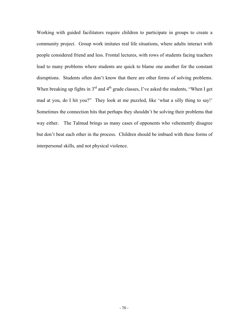Working with guided facilitators require children to participate in groups to create a community project. Group work imitates real life situations, where adults interact with people considered friend and less. Frontal lectures, with rows of students facing teachers lead to many problems where students are quick to blame one another for the constant disruptions. Students often don't know that there are other forms of solving problems. When breaking up fights in  $3<sup>rd</sup>$  and  $4<sup>th</sup>$  grade classes, I've asked the students, "When I get mad at you, do I hit you?" They look at me puzzled, like 'what a silly thing to say!' Sometimes the connection hits that perhaps they shouldn't be solving their problems that way either. The Talmud brings us many cases of opponents who vehemently disagree but don't beat each other in the process. Children should be imbued with these forms of interpersonal skills, and not physical violence.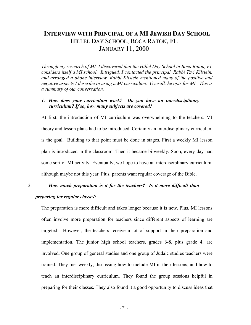## **INTERVIEW WITH PRINCIPAL OF A MI JEWISH DAY SCHOOL** HILLEL DAY SCHOOL, BOCA RATON, FL JANUARY 11, 2000

*Through my research of MI, I discovered that the Hillel Day School in Boca Raton, FL considers itself a MI school. Intrigued, I contacted the principal, Rabbi Tzvi Kilstein, and arranged a phone interview. Rabbi Kilstein mentioned many of the positive and negative aspects I describe in using a MI curriculum. Overall, he opts for MI. This is a summary of our conversation.* 

### *1. How does your curriculum work? Do you have an interdisciplinary curriculum? If so, how many subjects are covered?*

At first, the introduction of MI curriculum was overwhelming to the teachers. MI theory and lesson plans had to be introduced. Certainly an interdisciplinary curriculum is the goal. Building to that point must be done in stages. First a weekly MI lesson plan is introduced in the classroom. Then it became bi-weekly. Soon, every day had some sort of MI activity. Eventually, we hope to have an interdisciplinary curriculum, although maybe not this year. Plus, parents want regular coverage of the Bible.

# 2. *How much preparation is it for the teachers? Is it more difficult than preparing for regular classes*?

The preparation is more difficult and takes longer because it is new. Plus, MI lessons often involve more preparation for teachers since different aspects of learning are targeted. However, the teachers receive a lot of support in their preparation and implementation. The junior high school teachers, grades 6-8, plus grade 4, are involved. One group of general studies and one group of Judaic studies teachers were trained. They met weekly, discussing how to include MI in their lessons, and how to teach an interdisciplinary curriculum. They found the group sessions helpful in preparing for their classes. They also found it a good opportunity to discuss ideas that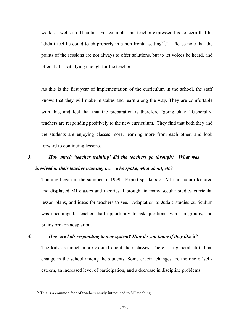work, as well as difficulties. For example, one teacher expressed his concern that he "didn't feel he could teach properly in a non-frontal setting<sup>92</sup>." Please note that the points of the sessions are not always to offer solutions, but to let voices be heard, and often that is satisfying enough for the teacher.

As this is the first year of implementation of the curriculum in the school, the staff knows that they will make mistakes and learn along the way. They are comfortable with this, and feel that that the preparation is therefore "going okay." Generally, teachers are responding positively to the new curriculum. They find that both they and the students are enjoying classes more, learning more from each other, and look forward to continuing lessons.

# *3. How much 'teacher training' did the teachers go through? What was involved in their teacher training, i.e. – who spoke, what about, etc?*

Training began in the summer of 1999. Expert speakers on MI curriculum lectured and displayed MI classes and theories. I brought in many secular studies curricula, lesson plans, and ideas for teachers to see. Adaptation to Judaic studies curriculum was encouraged. Teachers had opportunity to ask questions, work in groups, and brainstorm on adaptation.

1

#### *4. How are kids responding to new system? How do you know if they like it?*

The kids are much more excited about their classes. There is a general attitudinal change in the school among the students. Some crucial changes are the rise of selfesteem, an increased level of participation, and a decrease in discipline problems.

<span id="page-71-0"></span><sup>&</sup>lt;sup>92</sup> This is a common fear of teachers newly introduced to MI teaching.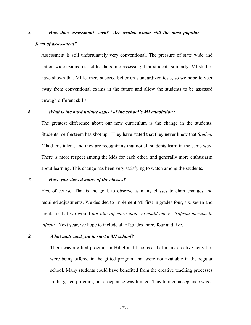# *5. How does assessment work? Are written exams still the most popular form of assessment?*

Assessment is still unfortunately very conventional. The pressure of state wide and nation wide exams restrict teachers into assessing their students similarly. MI studies have shown that MI learners succeed better on standardized tests, so we hope to veer away from conventional exams in the future and allow the students to be assessed through different skills.

### *6. What is the most unique aspect of the school's MI adaptation?*

The greatest difference about our new curriculum is the change in the students. Students' self-esteem has shot up. They have stated that they never knew that *Student X* had this talent, and they are recognizing that not all students learn in the same way. There is more respect among the kids for each other, and generally more enthusiasm about learning. This change has been very satisfying to watch among the students.

### *7. Have you viewed many of the classes?*

Yes, of course. That is the goal, to observe as many classes to chart changes and required adjustments. We decided to implement MI first in grades four, six, seven and eight, so that we would *not bite off more than we could chew - Tafasta meruba lo tafasta.* Next year, we hope to include all of grades three, four and five.

#### *8. What motivated you to start a MI school?*

There was a gifted program in Hillel and I noticed that many creative activities were being offered in the gifted program that were not available in the regular school. Many students could have benefited from the creative teaching processes in the gifted program, but acceptance was limited. This limited acceptance was a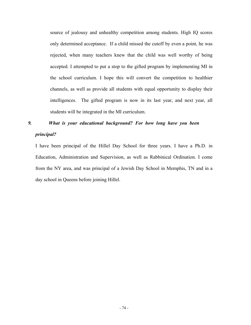source of jealousy and unhealthy competition among students. High IQ scores only determined acceptance. If a child missed the cutoff by even a point, he was rejected, when many teachers knew that the child was well worthy of being accepted. I attempted to put a stop to the gifted program by implementing MI in the school curriculum. I hope this will convert the competition to healthier channels, as well as provide all students with equal opportunity to display their intelligences. The gifted program is now in its last year, and next year, all students will be integrated in the MI curriculum.

# *9. What is your educational background? For how long have you been principal?*

I have been principal of the Hillel Day School for three years. I have a Ph.D. in Education, Administration and Supervision, as well as Rabbinical Ordination. I come from the NY area, and was principal of a Jewish Day School in Memphis, TN and in a day school in Queens before joining Hillel.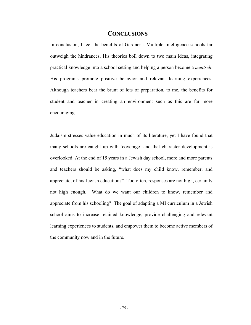### **CONCLUSIONS**

In conclusion, I feel the benefits of Gardner's Multiple Intelligence schools far outweigh the hindrances. His theories boil down to two main ideas, integrating practical knowledge into a school setting and helping a person become a *mentsch*. His programs promote positive behavior and relevant learning experiences. Although teachers bear the brunt of lots of preparation, to me, the benefits for student and teacher in creating an environment such as this are far more encouraging.

Judaism stresses value education in much of its literature, yet I have found that many schools are caught up with 'coverage' and that character development is overlooked. At the end of 15 years in a Jewish day school, more and more parents and teachers should be asking, "what does my child know, remember, and appreciate, of his Jewish education?" Too often, responses are not high, certainly not high enough. What do we want our children to know, remember and appreciate from his schooling? The goal of adapting a MI curriculum in a Jewish school aims to increase retained knowledge, provide challenging and relevant learning experiences to students, and empower them to become active members of the community now and in the future.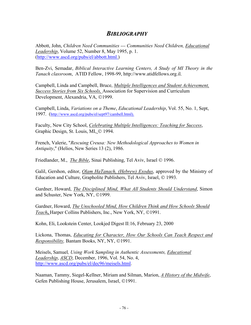### *BIBLIOGRAPHY*

Abbott, John, *Children Need Communities --- Communities Need Children, Educational Leadership*, Volume 52, Number 8, May 1995, p. 1. [\(http://www.ascd.org/pubs/el/abbott.html.](http://www.ascd.org/pubs/el/abbott.html.))

Ben-Zvi, Semadar, *Biblical Interactive Learning Centers, A Study of MI Theory in the Tanach classroom*, ATID Fellow, 1998-99, http://www.atidfellows.org.il.

Campbell, Linda and Campbell, Bruce, *Multiple Intelligences and Student Achievement, Success Stories from Six Schools,* Association for Supervision and Curriculum Development, Alexandria, VA, ©1999.

Campbell, Linda, *Variations on a Theme*, *Educational Leadership*, Vol. 55, No. 1, Sept, 1997. [\(http://www.ascd.org/pubs/el/sept97/cambell.html\).](http://www.ascd.org/pubs/el/sept97/cambell.html).)

Faculty, New City School, *Celebrating Multiple Intelligences: Teaching for Success*, Graphic Design, St. Louis, MI, © 1994.

French, Valerie, "*Rescuing Creusa: New Methodological Approaches to Women in Antiquity*," (Helios, New Series 13 (2), 1986.

Friedlander, M., *The Bible*, Sinai Publishing, Tel Aviv, Israel © 1996.

Galil, Gershon, editor, *Olam HaTanach, (Hebrew) Exodus*, approved by the Ministry of Education and Culture, Grapholite Publishers, Tel Aviv, Israel, © 1993.

Gardner, Howard, *The Disciplined Mind, What All Students Should Understand*, Simon and Schuster, New York, NY, ©1999.

Gardner, Howard, *The Unschooled Mind, How Children Think and How Schools Should Teach*, Harper Collins Publishers, Inc., New York, NY, ©1991.

Kohn, Eli, Lookstein Center, Lookjed Digest II:16, February 23, 2000

Lickona, Thomas, *Educating for Character, How Our Schools Can Teach Respect and Responsibility, Bantam Books, NY, NY, ©1991.* 

Meisels, Samuel*, Using Work Sampling in Authentic Assessments, Educational Leadership*, *ASCD*, December, 1996, Vol. 54, No. 4, <http://www.ascd.org/pubs/el/dec96/meisels.html>.

Naaman, Tammy, Siegel-Kellner, Miriam and Silman, Marion, *A History of the Midwife*, Gefen Publishing House, Jerusalem, Israel, ©1991.